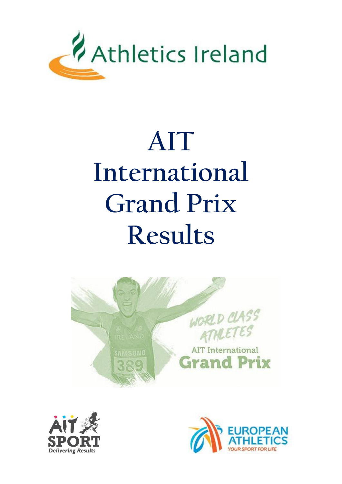

# **AIT International Grand Prix Results**





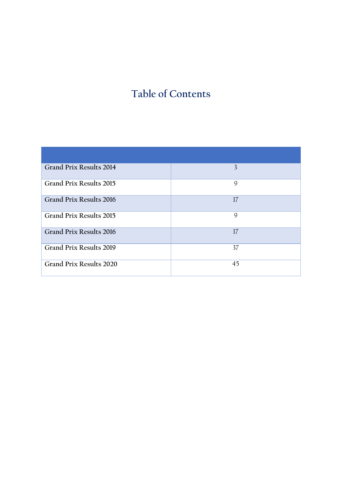## **Table of Contents**

| <b>Grand Prix Results 2014</b> | 3  |
|--------------------------------|----|
| <b>Grand Prix Results 2015</b> | 9  |
| Grand Prix Results 2016        | 17 |
| Grand Prix Results 2015        | 9  |
| <b>Grand Prix Results 2016</b> | 17 |
| <b>Grand Prix Results 2019</b> | 37 |
| Grand Prix Results 2020        | 45 |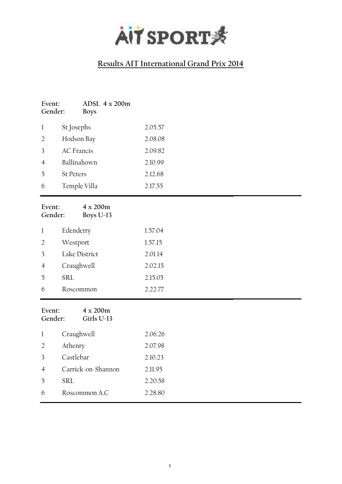

| Event:<br>Gender:       | ADSL $4 \times 200$ m<br><b>Boys</b> |         |
|-------------------------|--------------------------------------|---------|
| $\bf{l}$                | St Josephs                           | 2.05.57 |
| $\sqrt{2}$              | Hodson Bay                           | 2.08.08 |
| $\overline{\mathbf{3}}$ | <b>AC</b> Francis                    | 2.09.82 |
| $\overline{4}$          | Ballinahown                          | 2.10.99 |
| 5                       | <b>St Peters</b>                     | 2.12.68 |
| 6                       | Temple Villa                         | 2.17.55 |
| Event:<br>Gender:       | 4 x 200m<br>Boys U-13                |         |
| $\mathbf{l}$            | Edenderry                            | 1.57.04 |
| $\sqrt{2}$              | Westport                             | 1.57.15 |
| 3                       | Lake District                        | 2.01.14 |
| $\overline{4}$          | Craughwell                           | 2.02.15 |
| 5                       | <b>SRL</b>                           | 2.15.05 |
| 6                       | Roscommon                            | 2.22.77 |
| Event:<br>Gender:       | 4 x 200m<br>Girls U-13               |         |
| $\mathbf{l}$            | Craughwell                           | 2.06.26 |
| $\overline{2}$          | Athenry                              | 2.07.98 |
| 3                       | Castlebar                            | 2.10.23 |
| $\overline{4}$          | Carrick-on-Shannon                   | 2.11.95 |
| 5                       | <b>SRL</b>                           | 2.20.58 |
| 6                       | Roscommon A.C                        | 2.28.80 |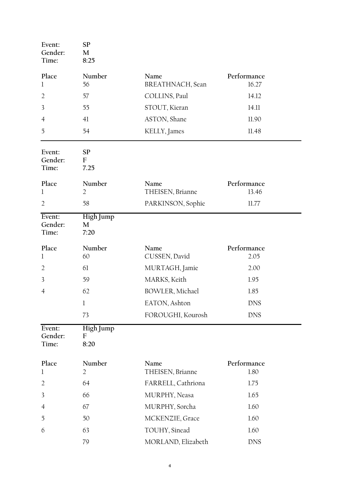<span id="page-3-0"></span>

| Event:<br>Gender:<br>Time: | <b>SP</b><br>M<br>8:25   |                          |                      |  |
|----------------------------|--------------------------|--------------------------|----------------------|--|
| Place<br>$\mathbf 1$       | Number<br>56             | Name<br>BREATHNACH, Sean | Performance<br>16.27 |  |
| $\overline{2}$             | 57                       | COLLINS, Paul            | 14.12                |  |
| 3                          | 55                       | STOUT, Kieran            | 14.11                |  |
| 4                          | 41                       | ASTON, Shane             | 11.90                |  |
| 5                          | 54                       | KELLY, James             | 11.48                |  |
| Event:<br>Gender:<br>Time: | <b>SP</b><br>F<br>7.25   |                          |                      |  |
| Place<br>1                 | Number<br>2              | Name<br>THEISEN, Brianne | Performance<br>13.46 |  |
| $\overline{2}$             | 58                       | PARKINSON, Sophie        | 11.77                |  |
| Event:<br>Gender:<br>Time: | High Jump<br>M<br>7:20   |                          |                      |  |
| Place<br>$\mathbf{l}$      | Number<br>60             | Name<br>CUSSEN, David    | Performance<br>2.05  |  |
| $\overline{2}$             | 61                       | MURTAGH, Jamie           | 2.00                 |  |
| 3                          | 59                       | MARKS, Keith             | 1.95                 |  |
| 4                          | 62                       | BOWLER, Michael          | 1.85                 |  |
|                            | l                        | EATON, Ashton            | <b>DNS</b>           |  |
|                            | 73                       | FOROUGHI, Kourosh        | <b>DNS</b>           |  |
| Event:<br>Gender:<br>Time: | High Jump<br>F<br>8:20   |                          |                      |  |
| Place<br>1                 | Number<br>$\overline{2}$ | Name<br>THEISEN, Brianne | Performance<br>1.80  |  |
| $\overline{2}$             | 64                       | FARRELL, Cathriona       | 1.75                 |  |
| 3                          | 66                       | MURPHY, Neasa            | 1.65                 |  |
| $\overline{4}$             | 67                       | MURPHY, Sorcha           | 1.60                 |  |
| 5                          | 50                       | MCKENZIE, Grace          | 1.60                 |  |
| 6                          | 63                       | TOUHY, Sinead            | 1.60                 |  |
|                            | 79                       | MORLAND, Elizabeth       | <b>DNS</b>           |  |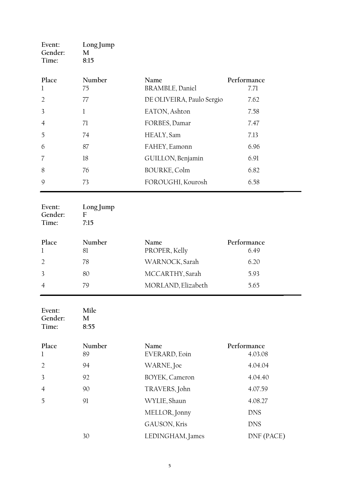| Event:<br>Gender:<br>Time: | Long Jump<br>M<br>8:15         |                                |                        |
|----------------------------|--------------------------------|--------------------------------|------------------------|
| Place<br>$\mathbf 1$       | Number<br>75                   | Name<br><b>BRAMBLE, Daniel</b> | Performance<br>7.71    |
| $\overline{2}$             | 77                             | DE OLIVEIRA, Paulo Sergio      | 7.62                   |
| 3                          | $\mathbf{1}$                   | EATON, Ashton                  | 7.58                   |
| 4                          | 71                             | FORBES, Damar                  | 7.47                   |
| 5                          | 74                             | HEALY, Sam                     | 7.13                   |
| 6                          | 87                             | FAHEY, Eamonn                  | 6.96                   |
| 7                          | 18                             | GUILLON, Benjamin              | 6.91                   |
| 8                          | 76                             | <b>BOURKE, Colm</b>            | 6.82                   |
| 9                          | 73                             | FOROUGHI, Kourosh              | 6.58                   |
| Event:<br>Gender:<br>Time: | Long Jump<br>$F_{\rm}$<br>7:15 |                                |                        |
| Place<br>$\mathbf 1$       | Number<br>81                   | Name<br>PROPER, Kelly          | Performance<br>6.49    |
| $\overline{2}$             | 78                             | WARNOCK, Sarah                 | 6.20                   |
| 3                          | 80                             | MCCARTHY, Sarah                | 5.93                   |
| $\overline{4}$             | 79                             | MORLAND, Elizabeth             | 5.65                   |
| Event:<br>Gender:<br>Time: | Mile<br>M<br>8:55              |                                |                        |
| Place<br>l                 | Number<br>89                   | Name<br>EVERARD, Eoin          | Performance<br>4.03.08 |
| $\overline{2}$             | 94                             | WARNE, Joe                     | 4.04.04                |
| 3                          | 92                             | BOYEK, Cameron                 | 4.04.40                |
| 4                          | 90                             | TRAVERS, John                  | 4.07.59                |
| 5                          | 91                             | WYLIE, Shaun                   | 4.08.27                |
|                            |                                | MELLOR, Jonny                  | <b>DNS</b>             |
|                            |                                | GAUSON, Kris                   | <b>DNS</b>             |
|                            | 30                             | LEDINGHAM, James               | DNF (PACE)             |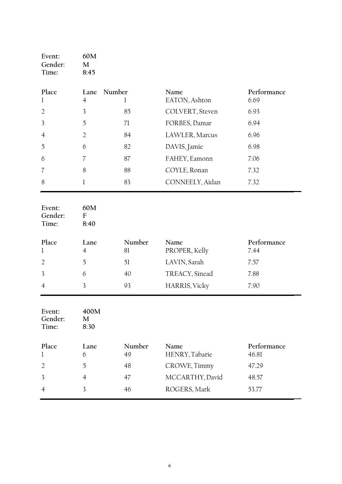| Event:<br>Gender:<br>Time: | 60M<br>M<br>8:45                 |              |                        |                      |
|----------------------------|----------------------------------|--------------|------------------------|----------------------|
| Place<br>l                 | Number<br>Lane<br>$\overline{4}$ | l            | Name<br>EATON, Ashton  | Performance<br>6.69  |
| $\overline{2}$             | 3                                | 85           | COLVERT, Steven        | 6.93                 |
| 3                          | 5                                | 71           | FORBES, Damar          | 6.94                 |
| 4                          | $\overline{2}$                   | 84           | LAWLER, Marcus         | 6.96                 |
| 5                          | 6                                | 82           | DAVIS, Jamie           | 6.98                 |
| 6                          | 7                                | 87           | FAHEY, Eamonn          | 7.06                 |
| 7                          | 8                                | 88           | COYLE, Ronan           | 7.32                 |
| 8                          | $\mathbf 1$                      | 83           | CONNEELY, Aidan        | 7.32                 |
| Event:<br>Gender:<br>Time: | 60M<br>${\bf F}$<br>8:40         |              |                        |                      |
| Place<br>l                 | Lane<br>$\overline{4}$           | Number<br>81 | Name<br>PROPER, Kelly  | Performance<br>7.44  |
| $\overline{2}$             | 5                                | 51           | LAVIN, Sarah           | 7.57                 |
| 3                          | 6                                | 40           | TREACY, Sinead         | 7.88                 |
| 4                          | 3                                | 93           | HARRIS, Vicky          | 7.90                 |
| Event:<br>Gender:<br>Time: | 400M<br>M<br>8:30                |              |                        |                      |
| Place<br>l                 | Lane<br>6                        | Number<br>49 | Name<br>HENRY, Tabarie | Performance<br>46.81 |
| $\overline{2}$             | 5                                | 48           | CROWE, Timmy           | 47.29                |
| 3                          | $\overline{4}$                   | 47           | MCCARTHY, David        | 48.57                |
| 4                          | 3                                | 46           | ROGERS, Mark           | 53.77                |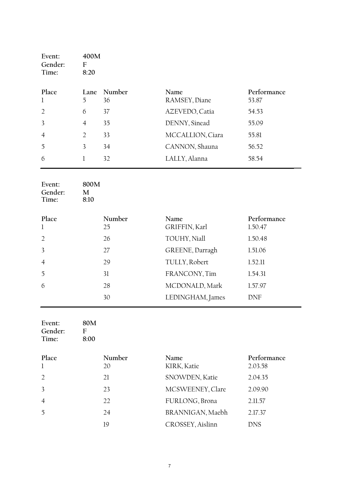| Event:<br>Gender:<br>Time: | 400M<br>F<br>8:20 |              |                              |                      |
|----------------------------|-------------------|--------------|------------------------------|----------------------|
| Place<br>1                 | Lane<br>5         | Number<br>36 | <b>Name</b><br>RAMSEY, Diane | Performance<br>53.87 |
| $\mathcal{L}$              | 6                 | 37           | AZEVEDO, Catia               | 54.53                |
| 3                          | $\overline{4}$    | 35           | DENNY, Sinead                | 55.09                |
| $\overline{4}$             | 2                 | 33           | MCCALLION, Ciara             | 55.81                |
| $\overline{2}$             | 3                 | 34           | CANNON, Shauna               | 56.52                |
| 6                          |                   | 32           | LALLY, Alanna                | 58.54                |

| Event:<br>Gender:<br>Time: | 800M<br>M<br>8:10 |        |                  |             |
|----------------------------|-------------------|--------|------------------|-------------|
| Place                      |                   | Number | Name             | Performance |
| $\mathbf{1}$               |                   | 25     | GRIFFIN, Karl    | 1.50.47     |
| $\overline{2}$             |                   | 26     | TOUHY, Niall     | 1.50.48     |
| $\overline{3}$             |                   | 27     | GREENE, Darragh  | 1.51.06     |
| $\overline{4}$             |                   | 29     | TULLY, Robert    | 1.52.11     |
| 5                          |                   | 31     | FRANCONY, Tim    | 1.54.31     |
| 6                          |                   | 28     | MCDONALD, Mark   | 1.57.97     |
|                            |                   | 30     | LEDINGHAM, James | <b>DNF</b>  |

| Event:<br>Gender:<br>Time: | 80M<br>F<br>8:00 |              |                     |                        |
|----------------------------|------------------|--------------|---------------------|------------------------|
| Place<br>1                 |                  | Number<br>20 | Name<br>KIRK, Katie | Performance<br>2.03.58 |
| $\mathcal{D}$              |                  | 21           | SNOWDEN, Katie      | 2.04.35                |
| 3                          |                  | 23           | MCSWEENEY, Clare    | 2.09.90                |
| 4                          |                  | 22           | FURLONG, Brona      | 2.11.57                |
| 5                          |                  | 24           | BRANNIGAN, Maebh    | 2.17.37                |
|                            |                  | 19           | CROSSEY, Aislinn    | DNS                    |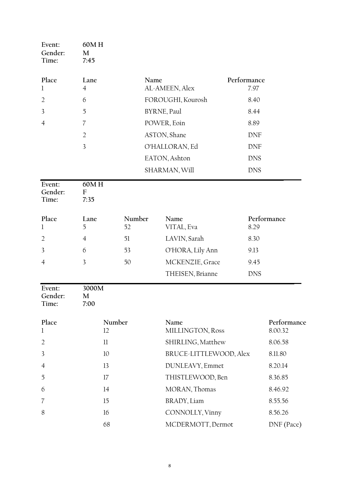| Event:<br>Gender:<br>Time: | 60MH<br>M<br>7:45      |              |                          |                     |                        |
|----------------------------|------------------------|--------------|--------------------------|---------------------|------------------------|
| Place<br>1                 | Lane<br>$\overline{4}$ |              | Name<br>AL-AMEEN, Alex   | Performance<br>7.97 |                        |
| $\overline{2}$             | 6                      |              | FOROUGHI, Kourosh        | 8.40                |                        |
| 3                          | 5                      |              | BYRNE, Paul              | 8.44                |                        |
| $\overline{4}$             | 7                      |              | POWER, Eoin              | 8.89                |                        |
|                            | $\overline{2}$         |              | ASTON, Shane             | <b>DNF</b>          |                        |
|                            | 3                      |              | O'HALLORAN, Ed           | <b>DNF</b>          |                        |
|                            |                        |              | EATON, Ashton            | <b>DNS</b>          |                        |
|                            |                        |              | SHARMAN, Will            | <b>DNS</b>          |                        |
| Event:<br>Gender:<br>Time: | 60MH<br>F<br>7:35      |              |                          |                     |                        |
| Place<br>$\mathbf{l}$      | Lane<br>5              | Number<br>52 | Name<br>VITAL, Eva       | 8.29                | Performance            |
| $\overline{2}$             | $\overline{4}$         | 51           | LAVIN, Sarah             | 8.30                |                        |
| 3                          | 6                      | 53           | O'HORA, Lily Ann         | 9.13                |                        |
| $\overline{4}$             | 3                      | 50           | MCKENZIE, Grace          | 9.45                |                        |
|                            |                        |              | THEISEN, Brianne         | <b>DNS</b>          |                        |
| Event:<br>Gender:<br>Time: | 3000M<br>M<br>7:00     |              |                          |                     |                        |
| Place<br>$\mathbf 1$       | 12                     | Number       | Name<br>MILLINGTON, Ross |                     | Performance<br>8.00.32 |
| $\overline{2}$             | $_{11}$                |              | SHIRLING, Matthew        |                     | 8.06.58                |
| 3                          | 10                     |              | BRUCE-LITTLEWOOD, Alex   |                     | 8.11.80                |
| $\overline{4}$             | 13                     |              | DUNLEAVY, Emmet          |                     | 8.20.14                |
| 5                          | 17                     |              | THISTLEWOOD, Ben         |                     | 8.36.85                |
| 6                          | 14                     |              | MORAN, Thomas            |                     | 8.46.92                |
| 7                          | 15                     |              | BRADY, Liam              |                     | 8.55.56                |
| 8                          | 16                     |              | CONNOLLY, Vinny          |                     | 8.56.26                |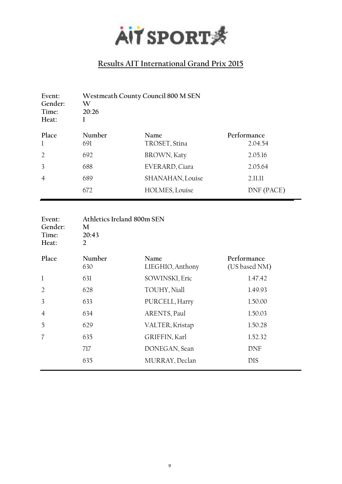

| Event:<br>Gender:<br>Time:<br>Heat: | Westmeath County Council 800 M SEN<br>W<br>20:26 |                       |                        |
|-------------------------------------|--------------------------------------------------|-----------------------|------------------------|
| Place<br>$\mathbf{1}$               | Number<br>691                                    | Name<br>TROSET, Stina | Performance<br>2.04.54 |
| 2                                   | 692                                              | BROWN, Katy           | 2.05.16                |
| 3                                   | 688                                              | EVERARD, Ciara        | 2.05.64                |
| $\overline{4}$                      | 689                                              | SHANAHAN, Louise      | 2.11.11                |
|                                     | 672                                              | HOLMES, Louise        | DNF (PACE)             |

| Event:<br>Gender:<br>Time:<br>Heat: | Athletics Ireland 800m SEN<br>M<br>20:43<br>2 |                          |                              |
|-------------------------------------|-----------------------------------------------|--------------------------|------------------------------|
| Place                               | Number<br>630                                 | Name<br>LIEGHIO, Anthony | Performance<br>(US based NM) |
| 1                                   | 631                                           | SOWINSKI, Eric           | 1.47.42                      |
| $\overline{2}$                      | 628                                           | TOUHY, Niall             | 1.49.93                      |
| 3                                   | 633                                           | PURCELL, Harry           | 1.50.00                      |
| $\overline{4}$                      | 634                                           | ARENTS, Paul             | 1.50.03                      |
| 5                                   | 629                                           | VALTER, Kristap          | 1.50.28                      |
| $\overline{7}$                      | 635                                           | GRIFFIN, Karl            | 1.52.32                      |
|                                     | 717                                           | DONEGAN, Sean            | DNF                          |
|                                     | 635                                           | MURRAY, Declan           | <b>DIS</b>                   |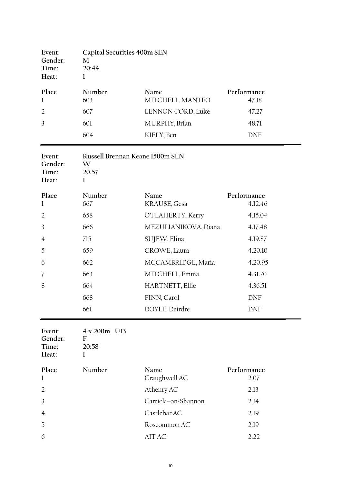| Event:<br>Gender:<br>Time:<br>Heat: | Capital Securities 400m SEN<br>M<br>20:44<br>$\bf{l}$     |                          |                        |
|-------------------------------------|-----------------------------------------------------------|--------------------------|------------------------|
| Place<br>$\mathbf 1$                | Number<br>603                                             | Name<br>MITCHELL, MANTEO | Performance<br>47.18   |
| $\overline{2}$                      | 607                                                       | LENNON-FORD, Luke        | 47.27                  |
| 3                                   | 601                                                       | MURPHY, Brian            | 48.71                  |
|                                     | 604                                                       | KIELY, Ben               | <b>DNF</b>             |
| Event:<br>Gender:<br>Time:<br>Heat: | Russell Brennan Keane 1500m SEN<br>W<br>20.57<br>$\bf{l}$ |                          |                        |
| Place<br>$\mathbf{l}$               | Number<br>667                                             | Name<br>KRAUSE, Gesa     | Performance<br>4.12.46 |
| $\overline{2}$                      | 658                                                       | O'FLAHERTY, Kerry        | 4.15.04                |
| 3                                   | 666                                                       | MEZULIANIKOVA, Diana     | 4.17.48                |
| 4                                   | 715                                                       | SUJEW, Elina             | 4.19.87                |
| 5                                   | 659                                                       | CROWE, Laura             | 4.20.10                |
| 6                                   | 662                                                       | MCCAMBRIDGE, Maria       | 4.20.95                |
| 7                                   | 663                                                       | MITCHELL, Emma           | 4.31.70                |
| 8                                   | 664                                                       | HARTNETT, Ellie          | 4.36.51                |
|                                     | 668                                                       | FINN, Carol              | <b>DNF</b>             |
|                                     | 661                                                       | DOYLE, Deirdre           | <b>DNF</b>             |
| Event:<br>Gender:<br>Time:<br>Heat: | 4 x 200m U13<br>${\rm F}$<br>20:58<br>1                   |                          |                        |
| Place<br>1                          | Number                                                    | Name<br>Craughwell AC    | Performance<br>2.07    |
| $\overline{2}$                      |                                                           | Athenry AC               | 2.13                   |
| 3                                   |                                                           | Carrick-on-Shannon       | 2.14                   |
| 4                                   |                                                           | Castlebar AC             | 2.19                   |
| 5                                   |                                                           | Roscommon AC             | 2.19                   |
| 6                                   |                                                           | $\operatorname{AITAC}$   | 2.22                   |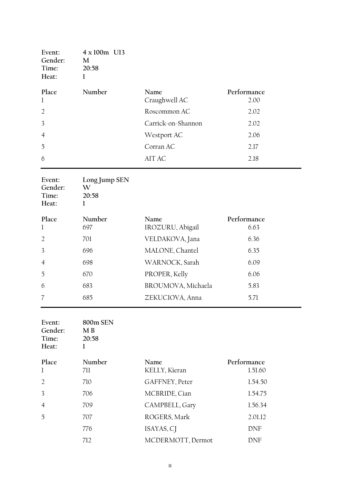| Event:<br>Gender:<br>Time:<br>Heat: | 4 x 100m U13<br>M<br>20:58<br>1  |                       |                     |
|-------------------------------------|----------------------------------|-----------------------|---------------------|
| Place<br>$\mathbf{1}$               | Number                           | Name<br>Craughwell AC | Performance<br>2.00 |
| $\overline{2}$                      |                                  | Roscommon AC          | 2.02                |
| $\overline{3}$                      |                                  | Carrick-on-Shannon    | 2.02                |
| $\overline{4}$                      |                                  | Westport AC           | 2.06                |
| 5                                   |                                  | Corran AC             | 2.17                |
| 6                                   |                                  | AIT AC                | 2.18                |
| Event:<br>Gender:<br>Time:<br>Heat: | Long Jump SEN<br>W<br>20:58<br>l |                       |                     |

| Place<br>-1    | Number<br>697 | Name<br>IROZURU, Abigail | Performance<br>6.63 |
|----------------|---------------|--------------------------|---------------------|
| $\mathcal{D}$  | 701           | VELDAKOVA, Jana          | 6.36                |
| $\mathcal{R}$  | 696           | MALONE, Chantel          | 6.35                |
| $\overline{4}$ | 698           | WARNOCK, Sarah           | 6.09                |
| $\overline{5}$ | 670           | PROPER, Kelly            | 6.06                |
| 6              | 683           | BROUMOVA, Michaela       | 5.83                |
|                | 685           | ZEKUCIOVA, Anna          | 5.71                |

| Event:<br>Gender:<br>Time:<br>Heat: | 800m SEN<br>M <sub>B</sub><br>20:58 |                       |                        |
|-------------------------------------|-------------------------------------|-----------------------|------------------------|
| Place<br>1                          | Number<br>711                       | Name<br>KELLY, Kieran | Performance<br>1.51.60 |
| $\overline{2}$                      | 710                                 | GAFFNEY, Peter        | 1.54.50                |
| 3                                   | 706                                 | MCBRIDE, Cian         | 1.54.75                |
| $\overline{4}$                      | 709                                 | CAMPBELL, Gary        | 1.56.34                |
| 5                                   | 707                                 | ROGERS, Mark          | 2.01.12                |
|                                     | 776                                 | ISAYAS, CJ            | <b>DNF</b>             |
|                                     | 712                                 | MCDERMOTT, Dermot     | DNF                    |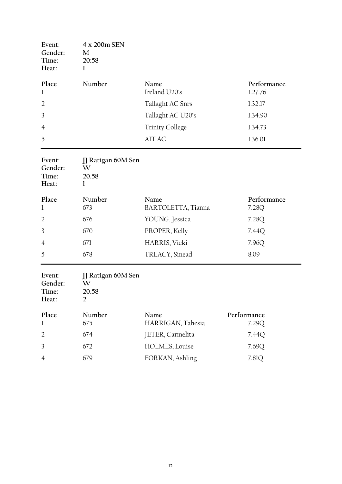| Event:<br>Gender:<br>Time:<br>Heat: | 4 x 200m SEN<br>M<br>20:58<br>1                    |                            |                        |
|-------------------------------------|----------------------------------------------------|----------------------------|------------------------|
| Place<br>1                          | Number                                             | Name<br>Ireland U20's      | Performance<br>1.27.76 |
| $\overline{2}$                      |                                                    | Tallaght AC Snrs           | 1.32.17                |
| 3                                   |                                                    | Tallaght AC U20's          | 1.34.90                |
| $\overline{4}$                      |                                                    | <b>Trinity College</b>     | 1.34.73                |
| 5                                   |                                                    | AIT AC                     | 1.36.01                |
| Event:<br>Gender:<br>Time:<br>Heat: | JJ Ratigan 60M Sen<br>W<br>20.58<br>$\bf{l}$       |                            |                        |
| Place<br>1                          | Number<br>673                                      | Name<br>BARTOLETTA, Tianna | Performance<br>7.28Q   |
| $\overline{2}$                      | 676                                                | YOUNG, Jessica             | 7.28Q                  |
| 3                                   | 670                                                | PROPER, Kelly              | 7.44Q                  |
| $\overline{4}$                      | 671                                                | <b>HARRIS, Vicki</b>       | 7.96Q                  |
| 5                                   | 678                                                | TREACY, Sinead             | 8.09                   |
| Event:<br>Gender:<br>Time:<br>Heat: | JJ Ratigan 60M Sen<br>W<br>20.58<br>$\overline{2}$ |                            |                        |
| Place<br>1                          | Number<br>675                                      | Name<br>HARRIGAN, Tahesia  | Performance<br>7.29Q   |
| $\overline{2}$                      | 674                                                | JETER, Carmelita           | 7.44Q                  |
| 3                                   | 672                                                | HOLMES, Louise             | 7.69Q                  |
| $\overline{4}$                      | 679                                                | FORKAN, Ashling            | 7.81Q                  |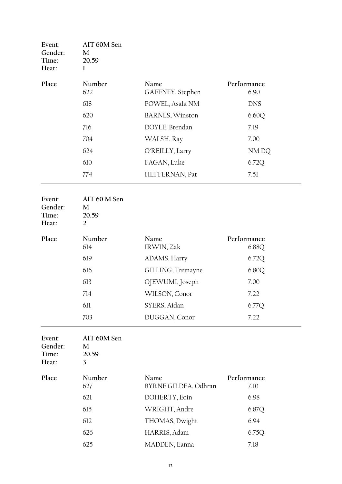| Event:<br>Gender:<br>Time:<br>Heat: | AIT 60M Sen<br>M<br>20.59<br>$\bf{l}$        |                              |                      |
|-------------------------------------|----------------------------------------------|------------------------------|----------------------|
| Place                               | Number<br>622                                | Name<br>GAFFNEY, Stephen     | Performance<br>6.90  |
|                                     | 618                                          | POWEL, Asafa NM              | <b>DNS</b>           |
|                                     | 620                                          | <b>BARNES, Winston</b>       | 6.60Q                |
|                                     | 716                                          | DOYLE, Brendan               | 7.19                 |
|                                     | 704                                          | WALSH, Ray                   | 7.00                 |
|                                     | 624                                          | O'REILLY, Larry              | NM DQ                |
|                                     | 610                                          | FAGAN, Luke                  | 6.72Q                |
|                                     | 774                                          | HEFFERNAN, Pat               | 7.51                 |
| Event:<br>Gender:<br>Time:<br>Heat: | AIT 60 M Sen<br>M<br>20.59<br>$\overline{2}$ |                              |                      |
| Place                               | Number<br>614                                | Name<br>IRWIN, Zak           | Performance<br>6.88Q |
|                                     | 619                                          | ADAMS, Harry                 | 6.72Q                |
|                                     | 616                                          | GILLING, Tremayne            | 6.80Q                |
|                                     | 613                                          | OJEWUMI, Joseph              | 7.00                 |
|                                     | 714                                          | WILSON, Conor                | 7.22                 |
|                                     | 611                                          | SYERS, Aidan                 | 6.77Q                |
|                                     | 703                                          | DUGGAN, Conor                | 7.22                 |
| Event:<br>Gender:<br>Time:<br>Heat: | AIT 60M Sen<br>M<br>20.59<br>3               |                              |                      |
| Place                               | Number<br>627                                | Name<br>BYRNE GILDEA, Odhran | Performance<br>7.10  |
|                                     | 621                                          | DOHERTY, Eoin                | 6.98                 |
|                                     | 615                                          | WRIGHT, Andre                | 6.87Q                |
|                                     | 612                                          | THOMAS, Dwight               | 6.94                 |
|                                     | 626                                          | HARRIS, Adam                 | 6.75Q                |
|                                     | 625                                          | MADDEN, Eanna                | 7.18                 |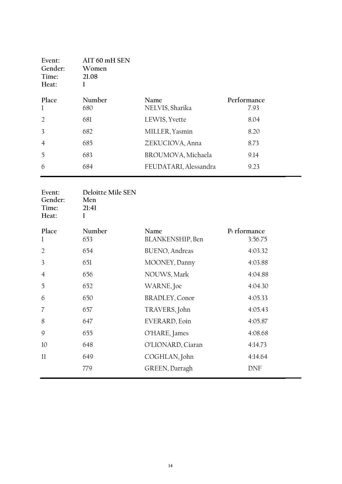| Event:<br>Gender:<br>Time:<br>Heat: | AIT 60 mH SEN<br>Women<br>21.08 |                       |             |
|-------------------------------------|---------------------------------|-----------------------|-------------|
| Place                               | Number                          | Name                  | Performance |
| $\mathbf{1}$                        | 680                             | NELVIS, Sharika       | 7.93        |
| 2                                   | 681                             | LEWIS, Yvette         | 8.04        |
| 3                                   | 682                             | MILLER, Yasmin        | 8.20        |
| $\overline{4}$                      | 685                             | ZEKUCIOVA, Anna       | 8.73        |
| 5                                   | 683                             | BROUMOVA, Michaela    | 9.14        |
| 6                                   | 684                             | FEUDATARI, Alessandra | 9.23        |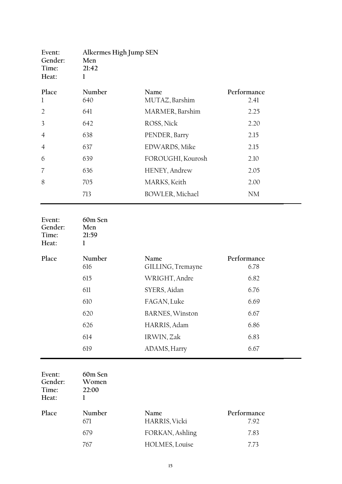| Event:<br>Gender:<br>Time:<br>Heat: | Alkermes High Jump SEN<br>Men<br>21:42<br>$\mathbf{l}$ |                           |                     |
|-------------------------------------|--------------------------------------------------------|---------------------------|---------------------|
| Place<br>1                          | Number<br>640                                          | Name<br>MUTAZ, Barshim    | Performance<br>2.41 |
| $\overline{2}$                      | 641                                                    | MARMER, Barshim           | 2.25                |
| 3                                   | 642                                                    | ROSS, Nick                | 2.20                |
| $\overline{4}$                      | 638                                                    | PENDER, Barry             | 2.15                |
| $\overline{4}$                      | 637                                                    | EDWARDS, Mike             | 2.15                |
| 6                                   | 639                                                    | FOROUGHI, Kourosh         | 2.10                |
| 7                                   | 636                                                    | HENEY, Andrew             | 2.05                |
| 8                                   | 705                                                    | MARKS, Keith              | 2.00                |
|                                     | 713                                                    | BOWLER, Michael           | N <sub>M</sub>      |
| Event:<br>Gender:<br>Time:<br>Heat: | 60m Sen<br>Men<br>21:59<br>1                           |                           |                     |
| Place                               | Number<br>616                                          | Name<br>GILLING, Tremayne | Performance<br>6.78 |
|                                     | 615                                                    | WRIGHT, Andre             | 6.82                |
|                                     | 611                                                    | SYERS, Aidan              | 6.76                |
|                                     | 610                                                    | FAGAN, Luke               | 6.69                |
|                                     | 620                                                    | <b>BARNES, Winston</b>    | 6.67                |
|                                     | 626                                                    | HARRIS, Adam              | 6.86                |
|                                     | 614                                                    | IRWIN, Zak                | 6.83                |
|                                     | 619                                                    | ADAMS, Harry              | 6.67                |
| Event:<br>Gender:<br>Time:<br>Heat: | 60m Sen<br>Women<br>22:00<br>1                         |                           |                     |
| Place                               | Number<br>671                                          | Name<br>HARRIS, Vicki     | Performance<br>7.92 |
|                                     | 679                                                    | FORKAN, Ashling           | 7.83                |
|                                     | 767                                                    | HOLMES, Louise            | 7.73                |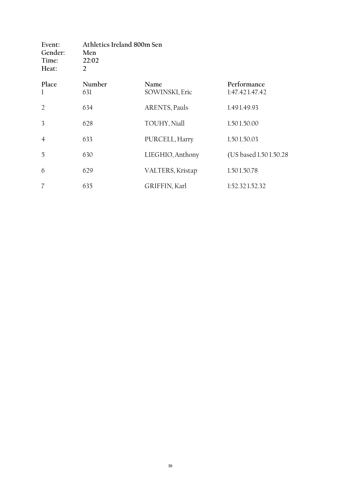| Event:<br>Gender:<br>Time:<br>Heat: | Men<br>22:02<br>$\overline{2}$ | Athletics Ireland 800m Sen |                               |  |
|-------------------------------------|--------------------------------|----------------------------|-------------------------------|--|
| Place<br>$\mathbf{1}$               | Number<br>631                  | Name<br>SOWINSKI, Eric     | Performance<br>1:47.421.47.42 |  |
| $\overline{2}$                      | 634                            | ARENTS, Pauls              | 1.491.49.93                   |  |
| 3                                   | 628                            | TOUHY, Niall               | 1.501.50.00                   |  |
| $\overline{4}$                      | 633                            | PURCELL, Harry             | 1.501.50.03                   |  |
| 5                                   | 630                            | LIEGHIO, Anthony           | (US based 1.501.50.28)        |  |
| 6                                   | 629                            | VALTERS, Kristap           | 1.501.50.78                   |  |
| $\overline{7}$                      | 635                            | GRIFFIN, Karl              | 1:52.321.52.32                |  |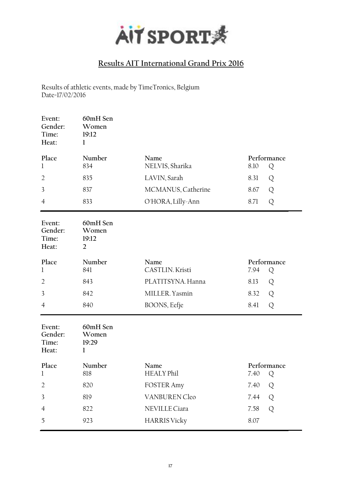

Results of athletic events, made by TimeTronics, Belgium Date=17/02/2016

| Event:<br>Gender:<br>Time:<br>Heat: | 60mH Sen<br>Women<br>19:12<br>1              |                           |                          |
|-------------------------------------|----------------------------------------------|---------------------------|--------------------------|
| Place<br>1                          | Number<br>834                                | Name<br>NELVIS, Sharika   | Performance<br>8.10<br>Q |
| $\overline{2}$                      | 835                                          | LAVIN, Sarah              | 8.31<br>Q                |
| 3                                   | 837                                          | MCMANUS, Catherine        | Q<br>8.67                |
| $\overline{4}$                      | 833                                          | O'HORA, Lilly-Ann         | 8.71<br>Q                |
| Event:<br>Gender:<br>Time:<br>Heat: | 60mH Sen<br>Women<br>19:12<br>$\overline{2}$ |                           |                          |
| Place<br>l                          | Number<br>841                                | Name<br>CASTLIN. Kristi   | Performance<br>7.94<br>Q |
| $\overline{2}$                      | 843                                          | PLATITSYNA. Hanna         | 8.13<br>Q                |
| 3                                   | 842                                          | MILLER. Yasmin            | Q<br>8.32                |
| $\overline{4}$                      | 840                                          | BOONS, Eefje              | Q<br>8.41                |
| Event:<br>Gender:<br>Time:<br>Heat: | 60mH Sen<br>Women<br>19:29<br>1              |                           |                          |
| Place<br>1                          | Number<br>818                                | Name<br><b>HEALY Phil</b> | Performance<br>7.40<br>Q |
| $\overline{2}$                      | 820                                          | <b>FOSTER Amy</b>         | 7.40<br>Q                |
| 3                                   | 819                                          | <b>VANBUREN Cleo</b>      | 7.44<br>Q                |
| $\overline{4}$                      | 822                                          | NEVILLE Ciara             | Q<br>7.58                |
| 5                                   | 923                                          | <b>HARRIS Vicky</b>       | 8.07                     |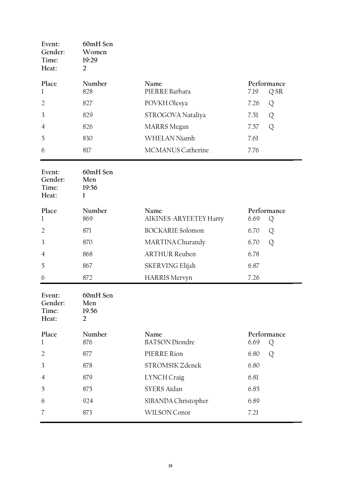| Event:<br>Gender:<br>Time:<br>Heat: | 60mH Sen<br>Women<br>19:29<br>$\overline{2}$ |                                |                          |
|-------------------------------------|----------------------------------------------|--------------------------------|--------------------------|
| Place                               | Number                                       | Name<br>PIERRE Barbara         | Performance              |
| 1                                   | 828<br>827                                   |                                | 7.19<br>Q SR             |
| $\overline{2}$                      |                                              | POVKH Olesya                   | 7.26<br>Q                |
| 3                                   | 829<br>826                                   | STROGOVA Nataliya              | 7.51<br>Q                |
| 4                                   |                                              | <b>MARRS</b> Megan             | 7.57<br>Q                |
| 5                                   | 830                                          | WHELAN Niamh                   | 7.61                     |
| 6                                   | 817                                          | MCMANUS Catherine              | 7.76                     |
| Event:<br>Gender:<br>Time:<br>Heat: | 60mH Sen<br>Men<br>19:56<br>1                |                                |                          |
| Place<br>1                          | Number<br>869                                | Name<br>AIKINES-ARYEETEY Harry | Performance<br>6.69<br>Q |
| $\overline{2}$                      | 871                                          | <b>BOCKARIE</b> Solomon        | 6.70<br>Q                |
| 3                                   | 870                                          | MARTINA Churandy               | 6.70<br>Q                |
| 4                                   | 868                                          | <b>ARTHUR Reuben</b>           | 6.78                     |
| 5                                   | 867                                          | SKERVING Elijah                | 6.87                     |
| 6                                   | 872                                          | <b>HARRIS Mervyn</b>           | 7.26                     |
| Event:<br>Gender:<br>Time:<br>Heat: | 60mH Sen<br>Men<br>19.56<br>$\overline{2}$   |                                |                          |
| Place<br>1                          | Number<br>876                                | Name<br><b>BATSON</b> Diondre  | Performance<br>6.69<br>Q |
| $\overline{2}$                      | 877                                          | PIERRE Rion                    | 6.80<br>Q                |
| 3                                   | 878                                          | STROMSIK Zdenek                | 6.80                     |
| $\overline{4}$                      | 879                                          | LYNCH Craig                    | 6.81                     |
| 5                                   | 875                                          | <b>SYERS Aidan</b>             | 6.85                     |
| 6                                   | 924                                          | SIBANDA Christopher            | 6.89                     |
| 7                                   | 873                                          | WILSON Conor                   | 7.21                     |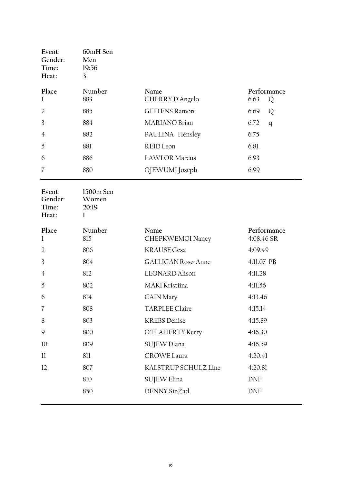| Event:<br>Gender:<br>Time:<br>Heat: | 60mH Sen<br>Men<br>19:56<br>3 |                         |      |                  |
|-------------------------------------|-------------------------------|-------------------------|------|------------------|
| Place<br>1                          | Number<br>883                 | Name<br>CHERRY D'Angelo | 6.63 | Performance<br>Q |
| $\overline{2}$                      | 885                           | <b>GITTENS Ramon</b>    | 6.69 | Q                |
| 3                                   | 884                           | <b>MARIANO</b> Brian    | 6.72 | q                |
| $\overline{4}$                      | 882                           | PAULINA Hensley         | 6.75 |                  |
| 5                                   | 881                           | REID Leon               | 6.81 |                  |
| 6                                   | 886                           | <b>LAWLOR Marcus</b>    | 6.93 |                  |
| $\overline{7}$                      | 880                           | OJEWUMI Joseph          | 6.99 |                  |

| Event:<br>Gender:<br>Time:<br>Heat: | 1500m Sen<br>Women<br>20:19<br>1 |                           |                           |
|-------------------------------------|----------------------------------|---------------------------|---------------------------|
| Place<br>$\mathbf{1}$               | Number<br>815                    | Name<br>CHEPKWEMOI Nancy  | Performance<br>4:08.46 SR |
| $\overline{2}$                      | 806                              | <b>KRAUSE Gesa</b>        | 4:09.49                   |
| 3                                   | 804                              | <b>GALLIGAN Rose-Anne</b> | 4:11.07 PB                |
| $\overline{4}$                      | 812                              | <b>LEONARD</b> Alison     | 4:11.28                   |
| 5                                   | 802                              | MAKI Kristiina            | 4:11.56                   |
| 6                                   | 814                              | <b>CAIN Mary</b>          | 4:13.46                   |
| 7                                   | 808                              | <b>TARPLEE Claire</b>     | 4:15.14                   |
| 8                                   | 803                              | <b>KREBS</b> Denise       | 4:15.89                   |
| 9                                   | 800                              | O'FLAHERTY Kerry          | 4:16.30                   |
| 10                                  | 809                              | SUJEW Diana               | 4:16.59                   |
| 11                                  | 811                              | <b>CROWE Laura</b>        | 4:20.41                   |
| 12                                  | 807                              | KALSTRUP SCHULZ Line      | 4:20.81                   |
|                                     | 810                              | SUJEW Elina               | <b>DNF</b>                |
|                                     | 850                              | DENNY SinŽad              | <b>DNF</b>                |
|                                     |                                  |                           |                           |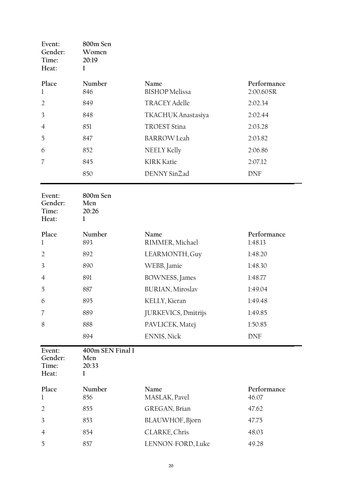| Event:<br>Gender:<br>Time:<br>Heat: | 800m Sen<br>Women<br>20:19<br>1       |                               |                          |
|-------------------------------------|---------------------------------------|-------------------------------|--------------------------|
| Place<br>1                          | Number<br>846                         | Name<br><b>BISHOP</b> Melissa | Performance<br>2:00.60SR |
| $\overline{2}$                      | 849                                   | <b>TRACEY Adelle</b>          | 2:02.34                  |
| 3                                   | 848                                   | TKACHUK Anastasiya            | 2:02.44                  |
| 4                                   | 851                                   | <b>TROEST Stina</b>           | 2:03.28                  |
| 5                                   | 847                                   | <b>BARROW</b> Leah            | 2:03.82                  |
| 6                                   | 852                                   | NEELY Kelly                   | 2:06.86                  |
| 7                                   | 845                                   | <b>KIRK Katie</b>             | 2:07.12                  |
|                                     | 850                                   | DENNY SinŽad                  | <b>DNF</b>               |
| Event:<br>Gender:<br>Time:<br>Heat: | 800m Sen<br>Men<br>20:26<br>$\bf{l}$  |                               |                          |
| Place<br>1                          | Number<br>893                         | Name<br>RIMMER, Michael       | Performance<br>1:48.13   |
| $\overline{2}$                      | 892                                   | LEARMONTH, Guy                | 1:48.20                  |
| 3                                   | 890                                   | WEBB, Jamie                   | 1:48.30                  |
| $\overline{4}$                      | 891                                   | BOWNESS, James                | 1:48.77                  |
| 5                                   | 887                                   | <b>BURIAN, Miroslav</b>       | 1:49.04                  |
| 6                                   | 895                                   | KELLY, Kieran                 | 1:49.48                  |
| 7                                   | 889                                   | JURKEVICS, Dmitrijs           | 1:49.85                  |
| 8                                   | 888                                   | PAVLICEK, Matej               | 1:50.85                  |
|                                     | 894                                   | ENNIS, Nick                   | <b>DNF</b>               |
| Event:<br>Gender:<br>Time:<br>Heat: | 400m SEN Final 1<br>Men<br>20:33<br>1 |                               |                          |
| Place<br>1                          | Number<br>856                         | Name<br>MASLAK, Pavel         | Performance<br>46.07     |
| $\overline{2}$                      | 855                                   | GREGAN, Brian                 | 47.62                    |
| 3                                   | 853                                   | BLAUWHOF, Bjorn               | 47.75                    |
| $\overline{4}$                      | 854                                   | CLARKE, Chris                 | 48.03                    |
| 5                                   | 857                                   | LENNON-FORD, Luke             | 49.28                    |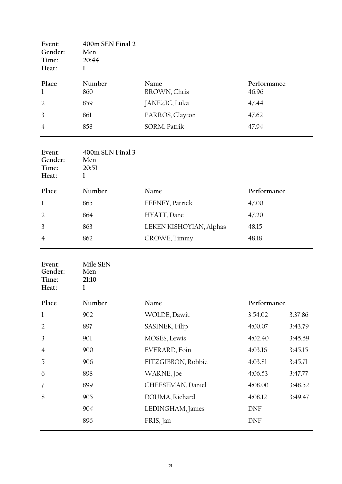| Event:<br>Gender:<br>Time:<br>Heat: | 400m SEN Final 2<br>Men<br>20:44<br>1 |                      |                      |
|-------------------------------------|---------------------------------------|----------------------|----------------------|
| Place<br>$\mathbf 1$                | Number<br>860                         | Name<br>BROWN, Chris | Performance<br>46.96 |
| $\overline{2}$                      | 859                                   | JANEZIC, Luka        | 47.44                |
| 3                                   | 861                                   | PARROS, Clayton      | 47.62                |
| $\overline{4}$                      | 858                                   | SORM, Patrik         | 47.94                |
| Event:<br>Gender:<br>Time:<br>Heat: | 400m SEN Final 3<br>Men<br>20:51      |                      |                      |

| Place          | Number | Name                    | Performance |
|----------------|--------|-------------------------|-------------|
|                | 865    | FEENEY, Patrick         | 47.00       |
| $\overline{2}$ | 864    | HYATT, Dane             | 47.20       |
| $\overline{3}$ | 863    | LEKEN KISHOYIAN, Alphas | 48.15       |
| $\overline{4}$ | 862    | CROWE, Timmy            | 48.18       |
|                |        |                         |             |

| Event:<br>Gender:<br>Time:<br>Heat: | Mile SEN<br>Men<br>21:10<br>1 |                    |             |         |
|-------------------------------------|-------------------------------|--------------------|-------------|---------|
| Place                               | Number                        | Name               | Performance |         |
| $\mathbf{1}$                        | 902                           | WOLDE, Dawit       | 3:54.02     | 3:37.86 |
| $\overline{2}$                      | 897                           | SASINEK, Filip     | 4:00.07     | 3:43.79 |
| 3                                   | 901                           | MOSES, Lewis       | 4:02.40     | 3:45.59 |
| $\overline{4}$                      | 900                           | EVERARD, Eoin      | 4:03.16     | 3:45.15 |
| 5                                   | 906                           | FITZGIBBON, Robbie | 4:03.81     | 3:45.71 |
| 6                                   | 898                           | WARNE, Joe         | 4:06.53     | 3:47.77 |
| 7                                   | 899                           | CHEESEMAN, Daniel  | 4:08.00     | 3:48.52 |
| 8                                   | 905                           | DOUMA, Richard     | 4:08.12     | 3:49.47 |
|                                     | 904                           | LEDINGHAM, James   | <b>DNF</b>  |         |
|                                     | 896                           | FRIS, Jan          | <b>DNF</b>  |         |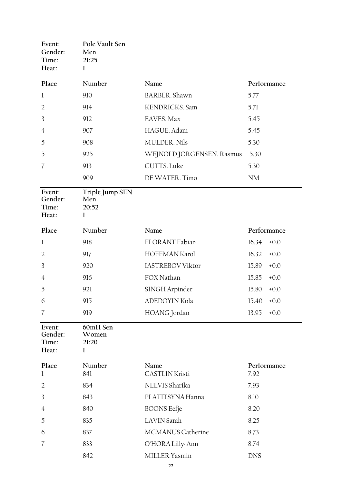| Event:<br>Gender:<br>Time:<br>Heat: | Pole Vault Sen<br>Men<br>21:25<br>1  |                               |                     |
|-------------------------------------|--------------------------------------|-------------------------------|---------------------|
| Place                               | Number                               | Name                          | Performance         |
| 1                                   | 910                                  | <b>BARBER</b> . Shawn         | 5.77                |
| $\overline{2}$                      | 914                                  | KENDRICKS. Sam                | 5.71                |
| 3                                   | 912                                  | EAVES. Max                    | 5.45                |
| $\overline{4}$                      | 907                                  | HAGUE. Adam                   | 5.45                |
| 5                                   | 908                                  | <b>MULDER. Nils</b>           | 5.30                |
| 5                                   | 925                                  | WEJNOLD JORGENSEN. Rasmus     | 5.30                |
| $\overline{7}$                      | 913                                  | CUTTS. Luke                   | 5.30                |
|                                     | 909                                  | DE WATER. Timo                | <b>NM</b>           |
| Event:<br>Gender:<br>Time:<br>Heat: | Triple Jump SEN<br>Men<br>20:52<br>1 |                               |                     |
| Place                               | Number                               | Name                          | Performance         |
| 1                                   | 918                                  | FLORANT Fabian                | 16.34<br>$+0.0$     |
| $\overline{2}$                      | 917                                  | HOFFMAN Karol                 | 16.32<br>$+0.0$     |
| 3                                   | 920                                  | <b>IASTREBOV Viktor</b>       | 15.89<br>$+0.0$     |
| 4                                   | 916                                  | FOX Nathan                    | 15.85<br>$+0.0$     |
| 5                                   | 921                                  | SINGH Arpinder                | 15.80<br>$+0.0$     |
| 6                                   | 915                                  | ADEDOYIN Kola                 | 15.40<br>$+0.0$     |
| 7                                   | 919                                  | HOANG Jordan                  | 13.95<br>$+0.0$     |
| Event:<br>Gender:<br>Time:<br>Heat: | 60mH Sen<br>Women<br>21:20<br>1      |                               |                     |
| Place<br>1                          | Number<br>841                        | Name<br><b>CASTLIN Kristi</b> | Performance<br>7.92 |
| $\overline{2}$                      | 834                                  | NELVIS Sharika                | 7.93                |
| 3                                   | 843                                  | PLATITSYNA Hanna              | 8.10                |
| $\overline{4}$                      | 840                                  | <b>BOONS</b> Eefje            | 8.20                |
| 5                                   | 835                                  | <b>LAVIN</b> Sarah            | 8.25                |
| 6                                   | 837                                  | MCMANUS Catherine             | 8.73                |
| $\overline{\mathcal{U}}$            | 833                                  | O'HORA Lilly-Ann              | 8.74                |
|                                     | 842                                  | MILLER Yasmin                 | <b>DNS</b>          |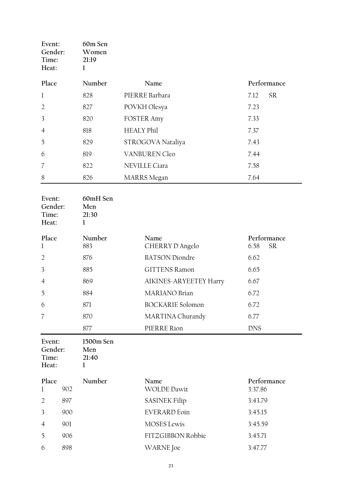<span id="page-22-0"></span>

| Event:<br>Gender:<br>Time:<br>Heat: |     | 60m Sen<br>Women<br>21:19<br>1 |                            |                                   |
|-------------------------------------|-----|--------------------------------|----------------------------|-----------------------------------|
| Place                               |     | Number                         | Name                       | Performance                       |
| $\bf{l}$                            |     | 828                            | PIERRE Barbara             | <b>SR</b><br>7.12                 |
| $\overline{2}$                      |     | 827                            | POVKH Olesya               | 7.23                              |
| 3                                   |     | 820                            | <b>FOSTER Amy</b>          | 7.33                              |
| 4                                   |     | 818                            | <b>HEALY Phil</b>          | 7.37                              |
| 5                                   |     | 829                            | STROGOVA Nataliya          | 7.43                              |
| 6                                   |     | 819                            | <b>VANBUREN Cleo</b>       | 7.44                              |
| 7                                   |     | 822                            | NEVILLE Ciara              | 7.58                              |
| 8                                   |     | 826                            | <b>MARRS</b> Megan         | 7.64                              |
| Event:<br>Gender:<br>Time:<br>Heat: |     | 60mH Sen<br>Men<br>21:30<br>1  |                            |                                   |
| Place<br>1                          |     | Number<br>883                  | Name<br>CHERRY D'Angelo    | Performance<br>${\rm SR}$<br>6.58 |
| $\overline{2}$                      |     | 876                            | <b>BATSON</b> Diondre      | 6.62                              |
| 3                                   |     | 885                            | <b>GITTENS Ramon</b>       | 6.65                              |
| $\overline{4}$                      |     | 869                            | AIKINES-ARYEETEY Harry     | 6.67                              |
| 5                                   |     | 884                            | MARIANO Brian              | 6.72                              |
| 6                                   |     | 871                            | <b>BOCKARIE</b> Solomon    | 6.72                              |
| 7                                   |     | 870                            | MARTINA Churandy           | 6.77                              |
|                                     |     | 877                            | PIERRE Rion                | <b>DNS</b>                        |
| Event:<br>Gender:<br>Time:<br>Heat: |     | 1500m Sen<br>Men<br>21:40<br>1 |                            |                                   |
| Place<br>$\bf{l}$                   | 902 | Number                         | Name<br><b>WOLDE Dawit</b> | Performance<br>3:37.86            |
| $\overline{2}$                      | 897 |                                | <b>SASINEK Filip</b>       | 3:43.79                           |
| $\overline{3}$                      | 900 |                                | <b>EVERARD</b> Eoin        | 3:45.15                           |
| $\overline{4}$                      | 901 |                                | <b>MOSES</b> Lewis         | 3:45.59                           |
| 5                                   | 906 |                                | FITZGIBBON Robbie          | 3:45.71                           |
| 6                                   | 898 |                                | <b>WARNE</b> Joe           | 3:47.77                           |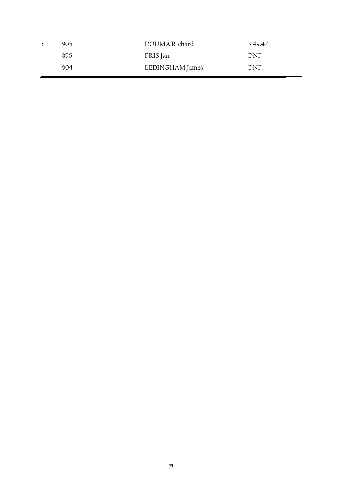| 8 | 905 | DOUMA Richard   | 3:49.47 |
|---|-----|-----------------|---------|
|   | 896 | FRIS Jan        | DNF     |
|   | 904 | LEDINGHAM James | DNF     |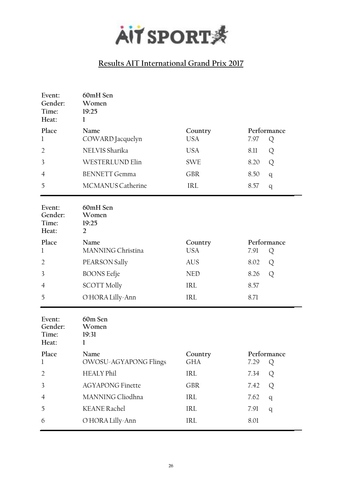

| Event:<br>Gender:<br>Time:<br>Heat: | 60mH Sen<br>Women<br>19:25<br>$\bf{l}$       |                       |                          |
|-------------------------------------|----------------------------------------------|-----------------------|--------------------------|
| Place<br>1                          | Name<br>COWARD Jacquelyn                     | Country<br><b>USA</b> | Performance<br>7.97<br>Q |
| $\overline{2}$                      | NELVIS Sharika                               | <b>USA</b>            | 8.11<br>Q                |
| 3                                   | WESTERLUND Elin                              | <b>SWE</b>            | 8.20<br>Q                |
| 4                                   | <b>BENNETT Gemma</b>                         | <b>GBR</b>            | 8.50<br>q                |
| 5                                   | MCMANUS Catherine                            | <b>IRL</b>            | 8.57<br>q                |
| Event:<br>Gender:<br>Time:<br>Heat: | 60mH Sen<br>Women<br>19:25<br>$\overline{2}$ |                       |                          |
| Place<br>1                          | Name<br>MANNING Christina                    | Country<br><b>USA</b> | Performance<br>7.91<br>Q |
| $\overline{2}$                      | PEARSON Sally                                | <b>AUS</b>            | 8.02<br>Q                |
| 3                                   | <b>BOONS</b> Eefje                           | <b>NED</b>            | 8.26<br>Q                |
| $\overline{4}$                      | <b>SCOTT Molly</b>                           | IRL                   | 8.57                     |
| 5                                   | O'HORA Lilly-Ann                             | <b>IRL</b>            | 8.71                     |
| Event:<br>Gender:<br>Time:<br>Heat: | 60m Sen<br>Women<br>19:31<br>1               |                       |                          |
| Place<br>l                          | Name<br>OWOSU-AGYAPONG Flings                | Country<br><b>GHA</b> | Performance<br>7.29<br>Q |
| $\overline{2}$                      | <b>HEALY Phil</b>                            | IRL                   | 7.34<br>Q                |
| 3                                   | <b>AGYAPONG Finette</b>                      | <b>GBR</b>            | 7.42<br>Q                |
| 4                                   | MANNING Cliodhna                             | IRL                   | 7.62<br>q                |
| 5                                   | <b>KEANE Rachel</b>                          | IRL                   | 7.91<br>q                |
| 6                                   | O'HORA Lilly-Ann                             | IRL                   | 8.01                     |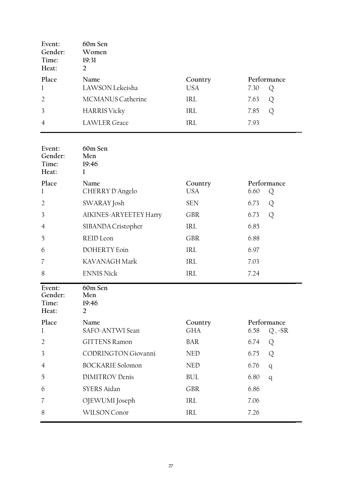| Event:<br>Gender:<br>Time:<br>Heat: | 60m Sen<br>Women<br>19:31<br>$\overline{2}$ |                |                          |
|-------------------------------------|---------------------------------------------|----------------|--------------------------|
| Place<br>$\mathbf{l}$               | Name<br>LAWSON Lekeisha                     | Country<br>USA | Performance<br>7.30<br>Q |
| $\overline{2}$                      | <b>MCMANUS Catherine</b>                    | IRL            | 7.63<br>Q                |
| $\overline{3}$                      | <b>HARRIS Vicky</b>                         | IRL            | 7.85<br>Q                |
| $\overline{4}$                      | <b>LAWLER</b> Grace                         | IRL            | 7.93                     |
| Event:<br>Gender:<br>Time:<br>Heat: | 60m Sen<br>Men<br>19:46<br>1                |                |                          |
| Place                               | Name                                        | Country        | Performance              |

| r iace<br>$\mathbf 1$               | <i>i</i> vallie<br>CHERRY D'Angelo        | Country<br><b>USA</b> | Periormance<br>6.60 | Q         |
|-------------------------------------|-------------------------------------------|-----------------------|---------------------|-----------|
| $\overline{2}$                      | SWARAY Josh                               | <b>SEN</b>            | 6.73                | Q         |
| 3                                   | AIKINES-ARYEETEY Harry                    | <b>GBR</b>            | 6.73                | Q         |
| $\overline{4}$                      | SIBANDA Cristopher                        | IRL                   | 6.85                |           |
| 5                                   | REID Leon                                 | <b>GBR</b>            | 6.88                |           |
| 6                                   | <b>DOHERTY</b> Eoin                       | IRL                   | 6.97                |           |
| 7                                   | KAVANAGH Mark                             | IRL                   | 7.03                |           |
| 8                                   | <b>ENNIS Nick</b>                         | IRL                   | 7.24                |           |
|                                     |                                           |                       |                     |           |
| Event:<br>Gender:<br>Time:<br>Heat: | 60m Sen<br>Men<br>19:46<br>$\overline{2}$ |                       |                     |           |
| Place                               | Name                                      | Country               | Performance         |           |
| 1                                   | SAFO-ANTWI Sean                           | <b>GHA</b>            | 6.58                | $Q$ , =SR |
| $\overline{2}$                      | <b>GITTENS Ramon</b>                      | <b>BAR</b>            | 6.74                | Q         |
| 3                                   | <b>CODRINGTON Giovanni</b>                | <b>NED</b>            | 6.75                | Q         |
| 4                                   | <b>BOCKARIE</b> Solomon                   | <b>NED</b>            | 6.76                | q         |

6 SYERS Aidan GBR 6.86

7 OJEWUMI Joseph IRL 7.06 8 WILSON Conor IRL 7.26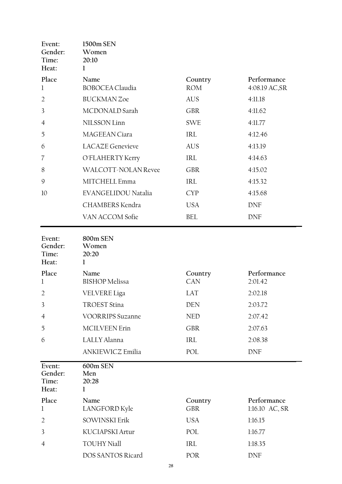| Event:<br>Gender:<br>Time:<br>Heat: | 1500m SEN<br>Women<br>20:10<br>1 |                       |                               |
|-------------------------------------|----------------------------------|-----------------------|-------------------------------|
| Place<br>1                          | Name<br><b>BOBOCEA Claudia</b>   | Country<br><b>ROM</b> | Performance<br>4:08.19 AC, SR |
| $\overline{2}$                      | <b>BUCKMAN Zoe</b>               | AUS                   | 4:11.18                       |
| 3                                   | MCDONALD Sarah                   | <b>GBR</b>            | 4:11.62                       |
| $\overline{4}$                      | NILSSON Linn                     | <b>SWE</b>            | 4:11.77                       |
| 5                                   | MAGEEAN Ciara                    | IRL                   | 4:12.46                       |
| 6                                   | <b>LACAZE</b> Genevieve          | <b>AUS</b>            | 4:13.19                       |
| 7                                   | O'FLAHERTY Kerry                 | <b>IRL</b>            | 4:14.63                       |
| 8                                   | WALCOTT-NOLAN Revee              | <b>GBR</b>            | 4:15.02                       |
| 9                                   | MITCHELL Emma                    | <b>IRL</b>            | 4:15.32                       |
| 10                                  | EVANGELIDOU Natalia              | <b>CYP</b>            | 4:15.68                       |
|                                     | CHAMBERS Kendra                  | <b>USA</b>            | <b>DNF</b>                    |
|                                     | VAN ACCOM Sofie                  | <b>BEL</b>            | <b>DNF</b>                    |

| Event:<br>Gender:<br>Time:<br>Heat: | 800m SEN<br>Women<br>20:20<br>1 |                       |                               |
|-------------------------------------|---------------------------------|-----------------------|-------------------------------|
| Place<br>1                          | Name<br><b>BISHOP</b> Melissa   | Country<br>CAN        | Performance<br>2:01.42        |
| $\overline{2}$                      | VELVERE Liga                    | LAT                   | 2:02.18                       |
| 3                                   | <b>TROEST Stina</b>             | <b>DEN</b>            | 2:03.72                       |
| 4                                   | <b>VOORRIPS Suzanne</b>         | <b>NED</b>            | 2:07.42                       |
| 5                                   | <b>MCILVEEN Erin</b>            | <b>GBR</b>            | 2:07.63                       |
| 6                                   | LALLY Alanna                    | <b>IRL</b>            | 2:08.38                       |
|                                     | ANKIEWICZ Emilia                | POL                   | <b>DNF</b>                    |
|                                     |                                 |                       |                               |
| Event:<br>Gender:<br>Time:<br>Heat: | 600m SEN<br>Men<br>20:28<br>1   |                       |                               |
| Place<br>l                          | Name<br>LANGFORD Kyle           | Country<br><b>GBR</b> | Performance<br>1:16.10 AC, SR |
| $\overline{2}$                      | <b>SOWINSKI Erik</b>            | <b>USA</b>            | 1:16.15                       |
| 3                                   | KUCIAPSKI Artur                 | POL                   | 1:16.77                       |
| $\overline{4}$                      | <b>TOUHY Niall</b>              | <b>IRL</b>            | 1:18.35                       |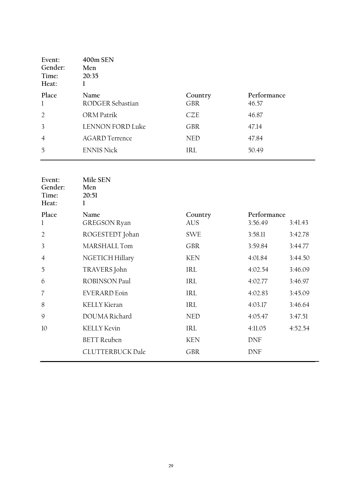| Event:<br>Gender:<br>Time:<br>Heat: | 400m SEN<br>Men<br>20:35 |                       |                      |
|-------------------------------------|--------------------------|-----------------------|----------------------|
| Place<br>$\mathbf{1}$               | Name<br>RODGER Sebastian | Country<br><b>GBR</b> | Performance<br>46.57 |
| $\overline{2}$                      | ORM Patrik               | CZE                   | 46.87                |
| $\overline{3}$                      | <b>LENNON FORD Luke</b>  | <b>GBR</b>            | 47.14                |
| $\overline{4}$                      | <b>AGARD Terrence</b>    | <b>NED</b>            | 47.84                |
| 5                                   | <b>ENNIS Nick</b>        | IRL                   | 50.49                |

| Event:<br>Gender:<br>Time:<br>Heat: | Mile SEN<br>Men<br>20:51<br>1 |            |             |         |
|-------------------------------------|-------------------------------|------------|-------------|---------|
| Place                               | Name                          | Country    | Performance |         |
| 1                                   | <b>GREGSON Ryan</b>           | <b>AUS</b> | 3:56.49     | 3:41.43 |
| $\overline{2}$                      | ROGESTEDT Johan               | <b>SWE</b> | 3:58.11     | 3:42.78 |
| 3                                   | MARSHALL Tom                  | <b>GBR</b> | 3:59.84     | 3:44.77 |
| $\overline{4}$                      | NGETICH Hillary               | <b>KEN</b> | 4:01.84     | 3:44.50 |
| 5                                   | TRAVERS John                  | <b>IRL</b> | 4:02.54     | 3:46.09 |
| 6                                   | <b>ROBINSON Paul</b>          | <b>IRL</b> | 4:02.77     | 3:46.97 |
| 7                                   | <b>EVERARD</b> Eoin           | IRL        | 4:02.83     | 3:45.09 |
| 8                                   | <b>KELLY Kieran</b>           | <b>IRL</b> | 4:03.17     | 3:46.64 |
| 9                                   | DOUMA Richard                 | <b>NED</b> | 4:05.47     | 3:47.51 |
| 10                                  | <b>KELLY Kevin</b>            | IRL        | 4:11.05     | 4:52.54 |
|                                     | <b>BETT</b> Reuben            | <b>KEN</b> | <b>DNF</b>  |         |
|                                     | <b>CLUTTERBUCK Dale</b>       | <b>GBR</b> | <b>DNF</b>  |         |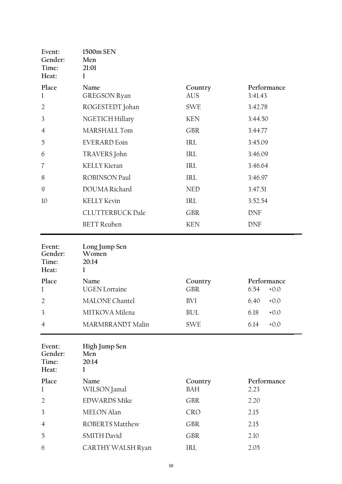| Event:<br>Gender:<br>Time:<br>Heat: | 1500m SEN<br>Men<br>21:01<br>1       |                       |                               |
|-------------------------------------|--------------------------------------|-----------------------|-------------------------------|
| Place                               | Name                                 | Country               | Performance                   |
| $\mathbf{l}$                        | <b>GREGSON Ryan</b>                  | <b>AUS</b>            | 3:41.43                       |
| $\overline{2}$                      | ROGESTEDT Johan                      | <b>SWE</b>            | 3:42.78                       |
| 3                                   | NGETICH Hillary                      | <b>KEN</b>            | 3:44.50                       |
| $\overline{4}$                      | MARSHALL Tom                         | <b>GBR</b>            | 3:44.77                       |
| 5                                   | <b>EVERARD</b> Eoin                  | <b>IRL</b>            | 3:45.09                       |
| 6                                   | TRAVERS John                         | <b>IRL</b>            | 3:46.09                       |
| 7                                   | <b>KELLY Kieran</b>                  | <b>IRL</b>            | 3:46.64                       |
| 8                                   | <b>ROBINSON Paul</b>                 | <b>IRL</b>            | 3:46.97                       |
| $\mathcal{G}$                       | DOUMA Richard                        | <b>NED</b>            | 3:47.51                       |
| 10                                  | <b>KELLY Kevin</b>                   | <b>IRL</b>            | 3:52.54                       |
|                                     | <b>CLUTTERBUCK Dale</b>              | <b>GBR</b>            | <b>DNF</b>                    |
|                                     | <b>BETT</b> Reuben                   | <b>KEN</b>            | <b>DNF</b>                    |
| Event:<br>Gender:<br>Time:<br>Heat: | Long Jump Sen<br>Women<br>20:14<br>1 |                       |                               |
| Place<br>$\mathbf{l}$               | Name<br><b>UGEN</b> Lorraine         | Country<br><b>GBR</b> | Performance<br>6.54<br>$+0.0$ |
| $\overline{2}$                      | <b>MALONE</b> Chantel                | <b>BVI</b>            | 6.40<br>$+0.0$                |

| Event:<br>Gender:<br>Time:<br>Heat: | High Jump Sen<br>Men<br>20:14 |                |                     |
|-------------------------------------|-------------------------------|----------------|---------------------|
| Place<br>1                          | Name<br>WILSON Jamal          | Country<br>BAH | Performance<br>2.23 |
| $\overline{2}$                      | <b>EDWARDS Mike</b>           | <b>GBR</b>     | 2.20                |
| 3                                   | <b>MELON</b> Alan             | <b>CRO</b>     | 2.15                |
| $\overline{4}$                      | ROBERTS Matthew               | <b>GBR</b>     | 2.15                |
| 5                                   | <b>SMITH David</b>            | <b>GBR</b>     | 2.10                |
| 6                                   | CARTHY WALSH Ryan             | IRL.           | 2.05                |

3 MITKOVA Milena BUL 6.18 +0.0

4 MARMBRANDT Malin SWE 6.14 +0.0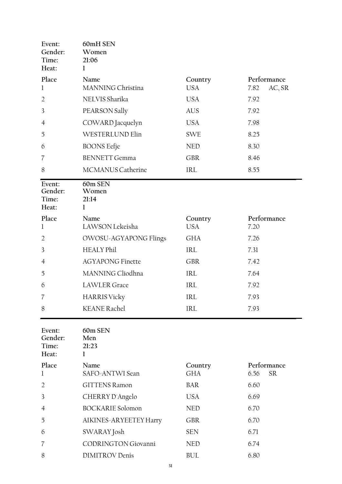| Event:<br>Gender:<br>Time:<br>Heat: | 60mH SEN<br>Women<br>21:06<br>1 |                       |                                  |
|-------------------------------------|---------------------------------|-----------------------|----------------------------------|
| Place<br>1                          | Name<br>MANNING Christina       | Country<br><b>USA</b> | Performance<br>AC, SR<br>7.82    |
| $\overline{2}$                      | NELVIS Sharika                  | <b>USA</b>            | 7.92                             |
| 3                                   | PEARSON Sally                   | <b>AUS</b>            | 7.92                             |
| $\overline{4}$                      | COWARD Jacquelyn                | <b>USA</b>            | 7.98                             |
| 5                                   | <b>WESTERLUND Elin</b>          | <b>SWE</b>            | 8.25                             |
| 6                                   | <b>BOONS</b> Eefje              | <b>NED</b>            | 8.30                             |
| 7                                   | <b>BENNETT Gemma</b>            | <b>GBR</b>            | 8.46                             |
| 8                                   | <b>MCMANUS Catherine</b>        | IRL                   | 8.55                             |
| Event:<br>Gender:<br>Time:<br>Heat: | 60m SEN<br>Women<br>21:14<br>1  |                       |                                  |
| Place<br>1                          | Name<br>LAWSON Lekeisha         | Country<br><b>USA</b> | Performance<br>7.20              |
| $\overline{2}$                      | OWOSU-AGYAPONG Flings           | GHA                   | 7.26                             |
| 3                                   | <b>HEALY Phil</b>               | IRL                   | 7.31                             |
| 4                                   | <b>AGYAPONG Finette</b>         | <b>GBR</b>            | 7.42                             |
| 5                                   | MANNING Cliodhna                | IRL                   | 7.64                             |
| 6                                   | <b>LAWLER</b> Grace             | IRL                   | 7.92                             |
| 7                                   | <b>HARRIS Vicky</b>             | IRL                   | 7.93                             |
| 8                                   | <b>KEANE</b> Rachel             | IRL                   | 7.93                             |
| Event:<br>Gender:<br>Time:<br>Heat: | 60m SEN<br>Men<br>21:23<br>1    |                       |                                  |
| Place<br>1                          | Name<br>SAFO-ANTWI Sean         | Country<br><b>GHA</b> | Performance<br><b>SR</b><br>6.56 |
| 2                                   | <b>GITTENS Ramon</b>            | <b>BAR</b>            | 6.60                             |
| 3                                   | CHERRY D'Angelo                 | <b>USA</b>            | 6.69                             |
| 4                                   | <b>BOCKARIE</b> Solomon         | <b>NED</b>            | 6.70                             |
| 5                                   | AIKINES-ARYEETEY Harry          | <b>GBR</b>            | 6.70                             |
| 6                                   | SWARAY Josh                     | <b>SEN</b>            | 6.71                             |
| 7                                   | <b>CODRINGTON Giovanni</b>      | <b>NED</b>            | 6.74                             |
| 8                                   | <b>DIMITROV</b> Denis           | <b>BUL</b>            | 6.80                             |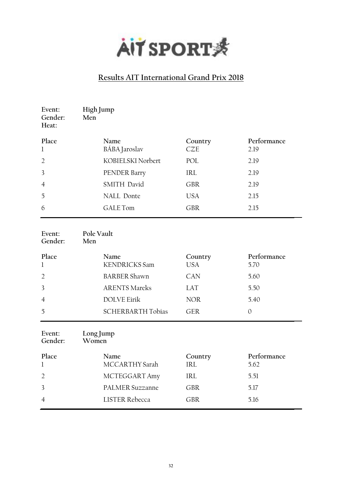

| Event:<br>Gender:<br>Heat: | High Jump<br>Men             |                       |                     |
|----------------------------|------------------------------|-----------------------|---------------------|
| Place                      | Name                         | Country               | Performance         |
| $\mathbf 1$                | BÁBA Jaroslav                | <b>CZE</b>            | 2.19                |
| $\overline{2}$             | KOBIELSKI Norbert            | POL                   | 2.19                |
| 3                          | PENDER Barry                 | <b>IRL</b>            | 2.19                |
| 4                          | SMITH David                  | <b>GBR</b>            | 2.19                |
| 5                          | NALL Donte                   | <b>USA</b>            | 2.15                |
| 6                          | <b>GALE Tom</b>              | <b>GBR</b>            | 2.15                |
| Event:<br>Gender:          | Pole Vault<br>Men            |                       |                     |
| Place<br>$\mathbf 1$       | Name<br><b>KENDRICKS</b> Sam | Country<br><b>USA</b> | Performance<br>5.70 |
| $\overline{2}$             | <b>BARBER Shawn</b>          | CAN                   | 5.60                |
| 3                          | <b>ARENTS Mareks</b>         | <b>LAT</b>            | 5.50                |
| $\overline{4}$             | <b>DOLVE Eirik</b>           | <b>NOR</b>            | 5.40                |
| 5                          | <b>SCHERBARTH Tobias</b>     | <b>GER</b>            | $\mathbf{0}$        |
| Event:<br>Gender:          | Long Jump<br>Women           |                       |                     |
| Place<br>1                 | Name<br>MCCARTHY Sarah       | Country<br><b>IRL</b> | Performance<br>5.62 |
| $\overline{2}$             | MCTEGGART Amy                | <b>IRL</b>            | 5.51                |
| 3                          | <b>PALMER Suzzanne</b>       | <b>GBR</b>            | 5.17                |
| $\overline{4}$             | <b>LISTER Rebecca</b>        | <b>GBR</b>            | 5.16                |
|                            |                              |                       |                     |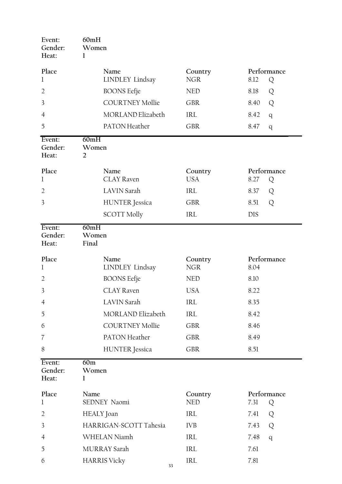| Event:<br>Gender:<br>Heat: | 60mH<br>Women<br>1              |                       |                          |
|----------------------------|---------------------------------|-----------------------|--------------------------|
| Place<br>1                 | Name<br><b>LINDLEY</b> Lindsay  | Country<br><b>NGR</b> | Performance<br>8.12<br>Q |
| $\overline{2}$             | <b>BOONS</b> Eefje              | <b>NED</b>            | 8.18<br>Q                |
| 3                          | <b>COURTNEY Mollie</b>          | <b>GBR</b>            | 8.40<br>Q                |
| $\overline{4}$             | MORLAND Elizabeth               | <b>IRL</b>            | 8.42<br>q                |
| 5                          | PATON Heather                   | <b>GBR</b>            | 8.47<br>q                |
| Event:<br>Gender:<br>Heat: | 60mH<br>Women<br>$\overline{2}$ |                       |                          |
| Place<br>1                 | Name<br><b>CLAY Raven</b>       | Country<br><b>USA</b> | Performance<br>8.27<br>Q |
| $\overline{2}$             | <b>LAVIN Sarah</b>              | <b>IRL</b>            | 8.37<br>Q                |
| 3                          | <b>HUNTER</b> Jessica           | <b>GBR</b>            | Q<br>8.51                |
|                            | <b>SCOTT Molly</b>              | IRL                   | <b>DIS</b>               |
| Event:<br>Gender:<br>Heat: | 60mH<br>Women<br>Final          |                       |                          |
| Place<br>1                 | Name<br>LINDLEY Lindsay         | Country<br><b>NGR</b> | Performance<br>8.04      |
| $\overline{2}$             | <b>BOONS</b> Eefje              | <b>NED</b>            | 8.10                     |
| 3                          | <b>CLAY Raven</b>               | <b>USA</b>            | 8.22                     |
| $\overline{4}$             | <b>LAVIN</b> Sarah              | IRL                   | 8.35                     |
| 5                          | <b>MORLAND Elizabeth</b>        | IRL                   | 8.42                     |
| 6                          | <b>COURTNEY Mollie</b>          | <b>GBR</b>            | 8.46                     |
| 7                          | PATON Heather                   | <b>GBR</b>            | 8.49                     |
| 8                          | <b>HUNTER</b> Jessica           | <b>GBR</b>            | 8.51                     |
| Event:<br>Gender:<br>Heat: | 60m<br>Women<br>1               |                       |                          |
| Place<br>1                 | Name<br>SEDNEY Naomi            | Country<br><b>NED</b> | Performance<br>7.31<br>Q |
| $\overline{2}$             | HEALY Joan                      | IRL                   | 7.41<br>Q                |
| 3                          | HARRIGAN-SCOTT Tahesia          | <b>IVB</b>            | Q<br>7.43                |
| $\overline{4}$             | WHELAN Niamh                    | IRL                   | 7.48<br>q                |
| 5                          | MURRAY Sarah                    | IRL                   | 7.61                     |
| 6                          | <b>HARRIS</b> Vicky<br>33       | IRL                   | 7.81                     |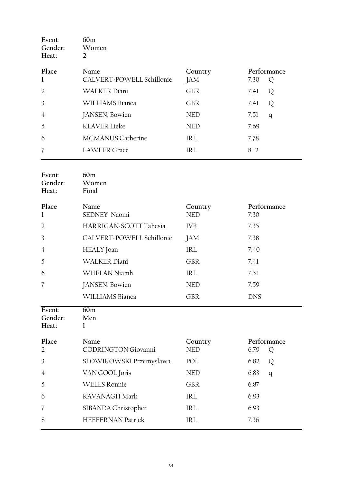| Event:<br>Gender:<br>Heat: | 60m<br>Women<br>2         |            |             |
|----------------------------|---------------------------|------------|-------------|
| Place                      | Name                      | Country    | Performance |
| 1                          | CALVERT-POWELL Schillonie | JAM        | 7.30<br>Q   |
| $\overline{2}$             | <b>WALKER Diani</b>       | <b>GBR</b> | 7.41<br>Q   |
| 3                          | WILLIAMS Bianca           | <b>GBR</b> | 7.41<br>Q   |
| $\overline{4}$             | JANSEN, Bowien            | <b>NED</b> | 7.51<br>q   |
| 5                          | <b>KLAVER Lieke</b>       | <b>NED</b> | 7.69        |
| 6                          | <b>MCMANUS Catherine</b>  | IRL        | 7.78        |
| 7                          | <b>LAWLER</b> Grace       | <b>IRL</b> | 8.12        |
|                            |                           |            |             |

| Event:<br>Gender:<br>Heat: | 60m<br>Women<br>Final       |                       |                          |
|----------------------------|-----------------------------|-----------------------|--------------------------|
| Place<br>1                 | Name<br><b>SEDNEY Naomi</b> | Country<br><b>NED</b> | Performance<br>7.30      |
| $\overline{2}$             | HARRIGAN-SCOTT Tahesia      | <b>IVB</b>            | 7.35                     |
| 3                          | CALVERT-POWELL Schillonie   | JAM                   | 7.38                     |
| $\overline{4}$             | HEALY Joan                  | <b>IRL</b>            | 7.40                     |
| 5                          | <b>WALKER Diani</b>         | <b>GBR</b>            | 7.41                     |
| 6                          | WHELAN Niamh                | IRL                   | 7.51                     |
| 7                          | JANSEN, Bowien              | <b>NED</b>            | 7.59                     |
|                            | WILLIAMS Bianca             | <b>GBR</b>            | <b>DNS</b>               |
| Event:<br>Gender:<br>Heat: | 60m<br>Men<br>1             |                       |                          |
| Place<br>$\overline{2}$    | Name                        | Country               |                          |
|                            | <b>CODRINGTON Giovanni</b>  | <b>NED</b>            | Performance<br>6.79<br>Q |
| 3                          | SLOWIKOWSKI Przemyslawa     | POL                   | 6.82<br>Q                |
| 4                          | VAN GOOL Joris              | <b>NED</b>            | 6.83<br>q                |
| 5                          | <b>WELLS Ronnie</b>         | <b>GBR</b>            | 6.87                     |
| 6                          | KAVANAGH Mark               | <b>IRL</b>            | 6.93                     |
| 7                          | SIBANDA Christopher         | <b>IRL</b>            | 6.93                     |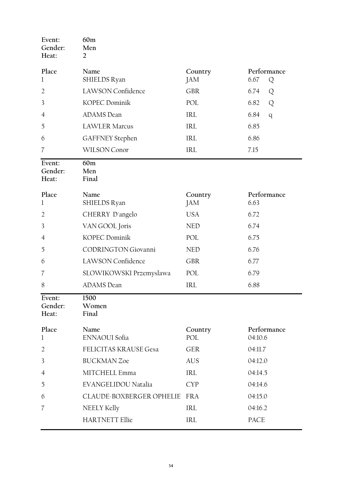| Event:<br>Gender:<br>Heat: | 60 <sub>m</sub><br>Men<br>2  |                |                          |
|----------------------------|------------------------------|----------------|--------------------------|
| Place<br>$\mathbf 1$       | Name<br>SHIELDS Ryan         | Country<br>JAM | Performance<br>6.67<br>Q |
| $\overline{2}$             | LAWSON Confidence            | <b>GBR</b>     | 6.74<br>Q                |
| 3                          | KOPEC Dominik                | POL            | 6.82<br>Q                |
| 4                          | <b>ADAMS</b> Dean            | IRL            | 6.84<br>q                |
| 5                          | <b>LAWLER Marcus</b>         | <b>IRL</b>     | 6.85                     |
| 6                          | <b>GAFFNEY</b> Stephen       | IRL            | 6.86                     |
| 7                          | WILSON Conor                 | IRL            | 7.15                     |
| Event:<br>Gender:<br>Heat: | 60m<br>Men<br>Final          |                |                          |
| Place                      | Name                         | Country        | Performance              |
| $\mathbf 1$                | SHIELDS Ryan                 | JAM            | 6.63                     |
| 2                          | CHERRY D'angelo              | <b>USA</b>     | 6.72                     |
| 3                          | VAN GOOL Joris               | <b>NED</b>     | 6.74                     |
| 4                          | KOPEC Dominik                | POL            | 6.75                     |
| 5                          | CODRINGTON Giovanni          | <b>NED</b>     | 6.76                     |
| 6                          | <b>LAWSON Confidence</b>     | <b>GBR</b>     | 6.77                     |
| 7                          | SLOWIKOWSKI Przemyslawa      | POL            | 6.79                     |
| 8                          | <b>ADAMS</b> Dean            | <b>IRL</b>     | 6.88                     |
| Event:<br>Gender:<br>Heat: | 1500<br>Women<br>Final       |                |                          |
| Place<br>$\mathbf 1$       | Name<br>ENNAOUI Sofia        | Country<br>POL | Performance<br>04:10.6   |
| $\overline{2}$             | FELICITAS KRAUSE Gesa        | <b>GER</b>     | 04:11.7                  |
| 3                          | <b>BUCKMAN Zoe</b>           | <b>AUS</b>     | 04:12.0                  |
| 4                          | MITCHELL Emma                | IRL            | 04:14.5                  |
| 5                          | EVANGELIDOU Natalia          | <b>CYP</b>     | 04:14.6                  |
| 6                          | CLAUDE-BOXBERGER OPHELIE FRA |                | 04:15.0                  |
| 7                          | NEELY Kelly                  | <b>IRL</b>     | 04:16.2                  |
|                            | <b>HARTNETT Ellie</b>        | IRL            | PACE                     |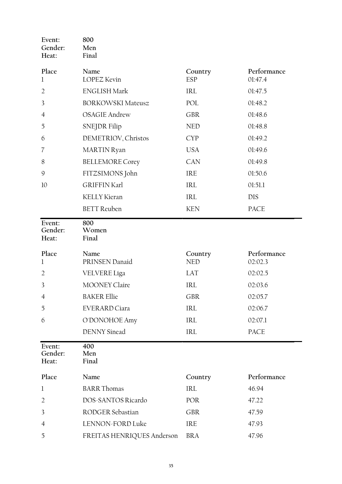| Event:<br>Gender:<br>Heat: | 800<br>Men<br>Final        |                                    |                        |
|----------------------------|----------------------------|------------------------------------|------------------------|
| Place<br>1                 | Name<br><b>LOPEZ Kevin</b> | Country<br><b>ESP</b>              | Performance<br>01:47.4 |
| $\overline{2}$             | <b>ENGLISH Mark</b>        | <b>IRL</b>                         | 01:47.5                |
| 3                          | <b>BORKOWSKI Mateusz</b>   | POL                                | 01:48.2                |
| $\overline{4}$             | <b>OSAGIE Andrew</b>       | <b>GBR</b>                         | 01:48.6                |
| 5                          | <b>SNEJDR Filip</b>        | <b>NED</b>                         | 01:48.8                |
| 6                          | DEMETRIOV, Christos        | <b>CYP</b>                         | 01:49.2                |
| 7                          | <b>MARTIN</b> Ryan         | <b>USA</b>                         | 01:49.6                |
| 8                          | <b>BELLEMORE Corey</b>     | CAN                                | 01:49.8                |
| $\mathcal{G}$              | FITZSIMONS John            | IRE                                | 01:50.6                |
| 10                         | <b>GRIFFIN Karl</b>        | IRL                                | 01:51.1                |
|                            | <b>KELLY Kieran</b>        | $\ensuremath{\mathsf{IRL}}\xspace$ | <b>DIS</b>             |
|                            | <b>BETT</b> Reuben         | <b>KEN</b>                         | PACE                   |
| Event:<br>Gender:<br>Heat: | 800<br>Women<br>Final      |                                    |                        |
| Place<br>$\mathbf 1$       | Name<br>PRINSEN Danaid     | Country<br><b>NED</b>              | Performance<br>02:02.3 |
| $\overline{2}$             | VELVERE Líga               | LAT                                | 02:02.5                |
| 3                          | <b>MOONEY Claire</b>       | IRL                                | 02:03.6                |
| $\overline{4}$             | <b>BAKER Ellie</b>         | <b>GBR</b>                         | 02:05.7                |
| 5                          | <b>EVERARD Ciara</b>       | $\ensuremath{\mathsf{IRL}}\xspace$ | 02:06.7                |
| 6                          | O'DONOHOE Amy              | IRL                                | 02:07.1                |
|                            | <b>DENNY</b> Sinead        | IRL                                | PACE                   |
| Event:<br>Gender:<br>Heat: | 400<br>Men<br>Final        |                                    |                        |
| Place                      | Name                       | Country                            | Performance            |
| 1                          | <b>BARR Thomas</b>         | IRL                                | 46.94                  |
| $\overline{2}$             | DOS-SANTOS Ricardo         | POR                                | 47.22                  |
| 3                          | RODGER Sebastian           | <b>GBR</b>                         | 47.59                  |
| 4                          | LENNON-FORD Luke           | IRE                                | 47.93                  |
| 5                          | FREITAS HENRIQUES Anderson | <b>BRA</b>                         | 47.96                  |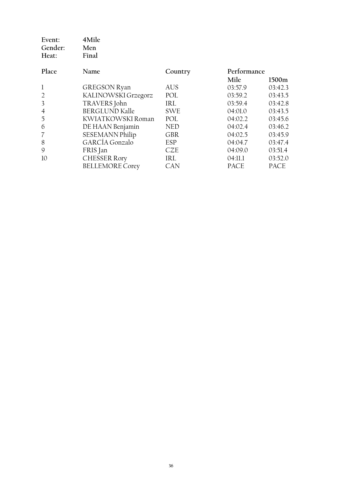| Event:<br>Gender:<br>Heat: | 4Mile<br>Men<br>Final  |            |             |             |
|----------------------------|------------------------|------------|-------------|-------------|
| Place                      | Name                   | Country    | Performance |             |
|                            |                        |            | Mile        | 1500m       |
| 1                          | <b>GREGSON Ryan</b>    | AUS        | 03:57.9     | 03:42.3     |
| $\overline{2}$             | KALINOWSKI Grzegorz    | POL        | 03:59.2     | 03:43.5     |
| 3                          | TRAVERS John           | <b>IRL</b> | 03:59.4     | 03:42.8     |
| $\overline{4}$             | <b>BERGLUND Kalle</b>  | <b>SWE</b> | 04:01.0     | 03:43.5     |
| 5                          | KWIATKOWSKI Roman      | POL        | 04:02.2     | 03:45.6     |
| 6                          | DE HAAN Benjamin       | <b>NED</b> | 04:02.4     | 03:46.2     |
| 7                          | <b>SESEMANN Philip</b> | <b>GBR</b> | 04:02.5     | 03:45.9     |
| 8                          | <b>GARCÍA</b> Gonzalo  | ESP        | 04:04.7     | 03:47.4     |
| 9                          | FRIS Jan               | CZE        | 04:09.0     | 03:51.4     |
| 10                         | <b>CHESSER Rory</b>    | IRL        | 04:11.1     | 03:52.0     |
|                            | <b>BELLEMORE Corey</b> | <b>CAN</b> | <b>PACE</b> | <b>PACE</b> |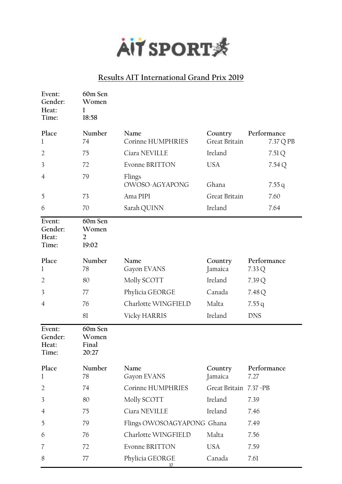

| Event:<br>Gender:<br>Heat:<br>Time: | 60m Sen<br>Women<br>1<br>18:58              |                            |                          |                          |
|-------------------------------------|---------------------------------------------|----------------------------|--------------------------|--------------------------|
| Place<br>1                          | Number<br>74                                | Name<br>Corinne HUMPHRIES  | Country<br>Great Britain | Performance<br>7.37 Q PB |
| 2                                   | 75                                          | Ciara NEVILLE              | Ireland                  | 7.51Q                    |
| 3                                   | 72                                          | <b>Evonne BRITTON</b>      | <b>USA</b>               | 7.54Q                    |
| 4                                   | 79                                          | Flings<br>OWOSO-AGYAPONG   | Ghana                    | 7.55q                    |
| 5                                   | 73                                          | Ama PIPI                   | Great Britain            | 7.60                     |
| 6                                   | 70                                          | Sarah QUINN                | Ireland                  | 7.64                     |
| Event:<br>Gender:<br>Heat:<br>Time: | 60m Sen<br>Women<br>$\overline{2}$<br>19:02 |                            |                          |                          |
| Place                               | Number                                      | Name                       | Country                  | Performance              |
| 1                                   | 78                                          | Gayon EVANS                | Jamaica                  | 7.33Q                    |
| $\overline{2}$                      | 80                                          | Molly SCOTT                | Ireland                  | 7.39Q                    |
| 3                                   | 77                                          | Phylicia GEORGE            | Canada                   | 7.48 Q                   |
| $\overline{4}$                      | 76                                          | Charlotte WINGFIELD        | Malta                    | 7.55q                    |
|                                     | 81                                          | Vicky HARRIS               | Ireland                  | <b>DNS</b>               |
| Event:<br>Gender:<br>Heat:<br>Time: | 60m Sen<br>Women<br>Final<br>20:27          |                            |                          |                          |
| Place<br>1                          | Number<br>78                                | Name<br>Gayon EVANS        | Country<br>Jamaica       | Performance<br>7.27      |
| 2                                   | 74                                          | Corinne HUMPHRIES          | Great Britain 7.37 = PB  |                          |
| 3                                   | 80                                          | Molly SCOTT                | Ireland                  | 7.39                     |
| $\overline{4}$                      | 75                                          | Ciara NEVILLE              | Ireland                  | 7.46                     |
| 5                                   | 79                                          | Flings OWOSOAGYAPONG Ghana |                          | 7.49                     |
| 6                                   | 76                                          | Charlotte WINGFIELD        | Malta                    | 7.56                     |
| 7                                   | 72                                          | Evonne BRITTON             | <b>USA</b>               | 7.59                     |
| 8                                   | 77                                          | Phylicia GEORGE<br>37      | Canada                   | 7.61                     |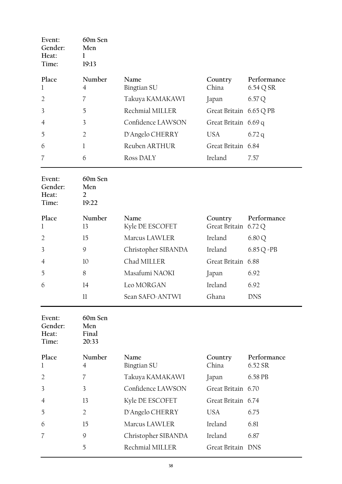| Event:<br>Gender:<br>Heat:<br>Time: | 60m Sen<br>Men<br>19:13 |                   |                         |             |
|-------------------------------------|-------------------------|-------------------|-------------------------|-------------|
| Place                               | Number                  | <b>Name</b>       | Country                 | Performance |
| 1                                   | 4                       | Bingtian SU       | China                   | 6.54 Q SR   |
| $\overline{2}$                      | 7                       | Takuya KAMAKAWI   | Japan                   | 6.57Q       |
| 3                                   | 5                       | Rechmial MILLER   | Great Britain 6.65 Q PB |             |
| $\overline{4}$                      | 3                       | Confidence LAWSON | Great Britain 6.69 q    |             |
| 5                                   | $\overline{2}$          | D'Angelo CHERRY   | USA                     | 6.72q       |
| 6                                   | 1                       | Reuben ARTHUR     | Great Britain 6.84      |             |
| 7                                   | 6                       | Ross DALY         | Ireland                 | 7.57        |

| Event:<br>Gender:<br>Heat:<br>Time: | 60m Sen<br>Men<br>2<br>19:22 |                         |                                 |               |
|-------------------------------------|------------------------------|-------------------------|---------------------------------|---------------|
| Place<br>1                          | Number<br>13                 | Name<br>Kyle DE ESCOFET | Country<br>Great Britain 6.72 Q | Performance   |
| $\overline{2}$                      | 15                           | Marcus LAWLER           | Ireland                         | 6.80 Q        |
| 3                                   | 9                            | Christopher SIBANDA     | Ireland                         | $6.85 Q = PB$ |
| $\overline{4}$                      | 10                           | Chad MILLER             | Great Britain 6.88              |               |
| 5                                   | 8                            | Masafumi NAOKI          | Japan                           | 6.92          |
| 6                                   | 14                           | Leo MORGAN              | Ireland                         | 6.92          |
|                                     | 11                           | Sean SAFO-ANTWI         | Ghana                           | DNS           |

| Event:<br>Gender:<br>Heat:<br>Time: | 60m Sen<br>Men<br>Final<br>20:33 |                     |                    |             |
|-------------------------------------|----------------------------------|---------------------|--------------------|-------------|
| Place                               | Number                           | Name                | Country            | Performance |
| 1                                   | 4                                | Bingtian SU         | China              | 6.52 SR     |
| $\overline{2}$                      | 7                                | Takuya KAMAKAWI     | Japan              | 6.58 PB     |
| 3                                   | 3                                | Confidence LAWSON   | Great Britain 6.70 |             |
| 4                                   | 13                               | Kyle DE ESCOFET     | Great Britain 6.74 |             |
| 5                                   | 2                                | D'Angelo CHERRY     | USA.               | 6.75        |
| 6                                   | 15                               | Marcus LAWLER       | Ireland            | 6.81        |
| $\overline{7}$                      | 9                                | Christopher SIBANDA | Ireland            | 6.87        |
|                                     | 5                                | Rechmial MILLER     | Great Britain DNS  |             |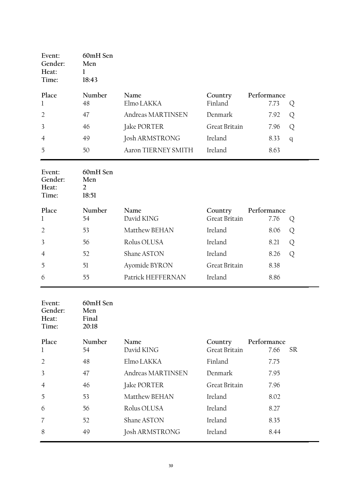| Event:<br>Gender:<br>Heat:<br>Time: | 60mH Sen<br>Men<br>18:43 |                     |               |             |   |
|-------------------------------------|--------------------------|---------------------|---------------|-------------|---|
| Place                               | Number                   | Name                | Country       | Performance |   |
| $\mathbf{1}$                        | 48                       | Elmo LAKKA          | Finland       | 7.73        | Q |
| 2                                   | 47                       | Andreas MARTINSEN   | Denmark       | 7.92        | Q |
| $\overline{3}$                      | 46                       | Jake PORTER         | Great Britain | 7.96        | Q |
| $\overline{4}$                      | 49                       | Josh ARMSTRONG      | Ireland       | 8.33        | q |
| 5                                   | 50                       | Aaron TIERNEY SMITH | Ireland       | 8.63        |   |

| Event:<br>Gender:<br>Heat:<br>Time: | 60mH Sen<br>Men<br>2<br>18:51 |                   |               |             |   |
|-------------------------------------|-------------------------------|-------------------|---------------|-------------|---|
| Place                               | Number                        | <b>Name</b>       | Country       | Performance |   |
| $\mathbf{1}$                        | 54                            | David KING        | Great Britain | 7.76        | Q |
| $\overline{2}$                      | 53                            | Matthew BEHAN     | Ireland       | 8.06        | Q |
| $\overline{3}$                      | 56                            | Rolus OLUSA       | Ireland       | 8.21        | Q |
| $\overline{4}$                      | 52                            | Shane ASTON       | Ireland       | 8.26        | Q |
| 5                                   | 51                            | Ayomide BYRON     | Great Britain | 8.38        |   |
| 6                                   | 55                            | Patrick HEFFERNAN | Ireland       | 8.86        |   |

| Event:<br>Gender:<br>Heat:<br>Time: | 60mH Sen<br>Men<br>Final<br>20:18 |                   |               |                   |
|-------------------------------------|-----------------------------------|-------------------|---------------|-------------------|
| Place                               | Number                            | Name              | Country       | Performance       |
| 1                                   | 54                                | David KING        | Great Britain | <b>SR</b><br>7.66 |
| $\overline{2}$                      | 48                                | Elmo LAKKA        | Finland       | 7.75              |
| 3                                   | 47                                | Andreas MARTINSEN | Denmark       | 7.95              |
| $\overline{4}$                      | 46                                | Jake PORTER       | Great Britain | 7.96              |
| 5                                   | 53                                | Matthew BEHAN     | Ireland       | 8.02              |
| 6                                   | 56                                | Rolus OLUSA       | Ireland       | 8.27              |
| 7                                   | 52                                | Shane ASTON       | Ireland       | 8.35              |
| 8                                   | 49                                | Josh ARMSTRONG    | Ireland       | 8.44              |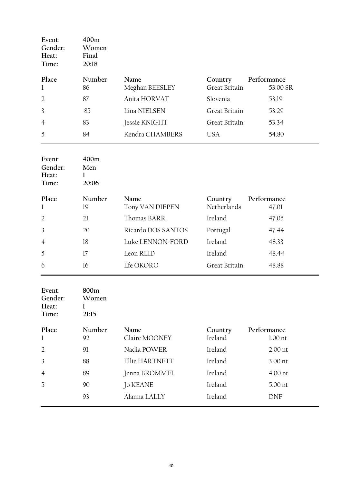| Event:<br>Gender:<br>Heat:<br>Time: | 400m<br>Women<br>Final<br>20:18 |                 |               |             |
|-------------------------------------|---------------------------------|-----------------|---------------|-------------|
| Place                               | Number                          | Name            | Country       | Performance |
| 1                                   | 86                              | Meghan BEESLEY  | Great Britain | 53.00 SR    |
| $\overline{2}$                      | 87                              | Anita HORVAT    | Slovenia      | 53.19       |
| 3                                   | 85                              | Lina NIELSEN    | Great Britain | 53.29       |
| $\overline{4}$                      | 83                              | Jessie KNIGHT   | Great Britain | 53.34       |
| 5                                   | 84                              | Kendra CHAMBERS | <b>USA</b>    | 54.80       |

| Event:<br>Gender:<br>Heat:<br>Time: | 400m<br>Men<br>I.<br>20:06 |                         |                        |                      |
|-------------------------------------|----------------------------|-------------------------|------------------------|----------------------|
| Place<br>1                          | Number<br>19               | Name<br>Tony VAN DIEPEN | Country<br>Netherlands | Performance<br>47.01 |
| $\overline{2}$                      | 21                         | Thomas BARR             | Ireland                | 47.05                |
| 3                                   | 20                         | Ricardo DOS SANTOS      | Portugal               | 47.44                |
| $\overline{4}$                      | 18                         | Luke LENNON-FORD        | Ireland                | 48.33                |
| 5                                   | 17                         | Leon REID               | Ireland                | 48.44                |
| 6                                   | 16                         | Efe OKORO               | Great Britain          | 48.88                |

| Event:<br>Gender:<br>Heat:<br>Time: | 800m<br>Women<br>21:15 |                 |         |             |
|-------------------------------------|------------------------|-----------------|---------|-------------|
| Place                               | Number                 | Name            | Country | Performance |
| 1                                   | 92                     | Claire MOONEY   | Ireland | $1.00$ nt   |
| $\overline{2}$                      | 91                     | Nadia POWER     | Ireland | $2.00$ nt   |
| 3                                   | 88                     | Ellie HARTNETT  | Ireland | 3.00 nt     |
| $\overline{4}$                      | 89                     | Jenna BROMMEL   | Ireland | 4.00 nt     |
| 5                                   | 90                     | <b>Jo KEANE</b> | Ireland | 5.00 nt     |
|                                     | 93                     | Alanna LALLY    | Ireland | <b>DNF</b>  |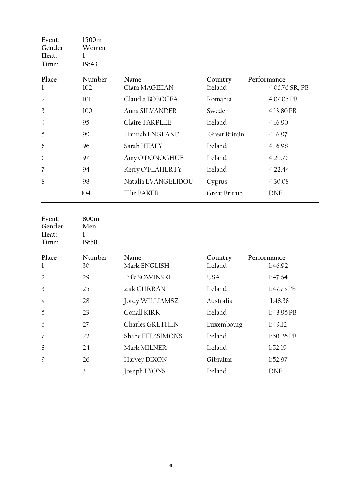| Event:<br>Gender:<br>Heat:<br>Time: | 1500m<br>Women<br>19:43 |                     |               |                |
|-------------------------------------|-------------------------|---------------------|---------------|----------------|
| Place                               | Number                  | Name                | Country       | Performance    |
| 1                                   | 102                     | Ciara MAGEEAN       | Ireland       | 4:06.76 SR, PB |
| $\overline{2}$                      | 101                     | Claudia BOBOCEA     | Romania       | 4:07.05 PB     |
| 3                                   | 100                     | Anna SILVANDER      | Sweden        | 4:13.80 PB     |
| $\overline{4}$                      | 95                      | Claire TARPLEE      | Ireland       | 4:16.90        |
| 5                                   | 99                      | Hannah ENGLAND      | Great Britain | 4:16.97        |
| 6                                   | 96                      | Sarah HEALY         | Ireland       | 4:16.98        |
| 6                                   | 97                      | Amy O'DONOGHUE      | Ireland       | 4:20.76        |
| 7                                   | 94                      | Kerry O'FLAHERTY    | Ireland       | 4:22.44        |
| 8                                   | 98                      | Natalia EVANGELIDOU | Cyprus        | 4:30.08        |
|                                     | 104                     | Ellie BAKER         | Great Britain | <b>DNF</b>     |

| Event:<br>Gender:<br>Heat:<br>Time: | 800m<br>Men<br>19:50 |                      |                    |                        |
|-------------------------------------|----------------------|----------------------|--------------------|------------------------|
| Place<br>1                          | Number<br>30         | Name<br>Mark ENGLISH | Country<br>Ireland | Performance<br>1:46.92 |
| $\overline{2}$                      | 29                   | Erik SOWINSKI        | <b>USA</b>         | 1:47.64                |
| 3                                   | 25                   | Zak CURRAN           | Ireland            | 1:47.73 PB             |
| $\overline{4}$                      | 28                   | Jordy WILLIAMSZ      | Australia          | 1:48.38                |
| 5                                   | 23                   | Conall KIRK          | Ireland            | 1:48.95 PB             |
| 6                                   | 27                   | Charles GRETHEN      | Luxembourg         | 1:49.12                |
| 7                                   | 22                   | Shane FITZSIMONS     | Ireland            | 1:50.26 PB             |
| 8                                   | 24                   | Mark MILNER          | Ireland            | 1:52.19                |
| 9                                   | 26                   | Harvey DIXON         | Gibraltar          | 1:52.97                |
|                                     | 31                   | Joseph LYONS         | Ireland            | <b>DNF</b>             |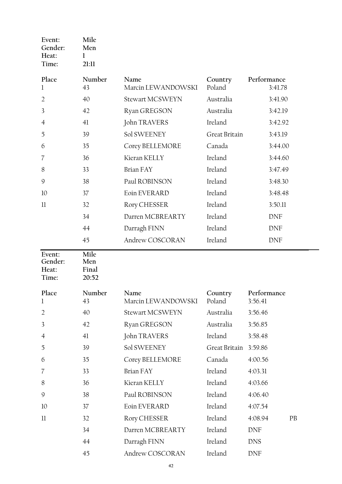| Event:<br>Gender:<br>Heat:          | Mile<br>Men<br>1              |                            |                   |                        |
|-------------------------------------|-------------------------------|----------------------------|-------------------|------------------------|
| Time:                               | 21:11                         |                            |                   |                        |
| Place<br>$\mathbf 1$                | Number<br>43                  | Name<br>Marcin LEWANDOWSKI | Country<br>Poland | Performance<br>3:41.78 |
| $\overline{2}$                      | 40                            | Stewart MCSWEYN            | Australia         | 3:41.90                |
| 3                                   | 42                            | Ryan GREGSON               | Australia         | 3:42.19                |
| 4                                   | 41                            | John TRAVERS               | Ireland           | 3:42.92                |
| 5                                   | 39                            | Sol SWEENEY                | Great Britain     | 3:43.19                |
| 6                                   | 35                            | Corey BELLEMORE            | Canada            | 3:44.00                |
| 7                                   | 36                            | Kieran KELLY               | Ireland           | 3:44.60                |
| 8                                   | 33                            | <b>Brian FAY</b>           | Ireland           | 3:47.49                |
| 9                                   | 38                            | Paul ROBINSON              | Ireland           | 3:48.30                |
| 10                                  | 37                            | Eoin EVERARD               | Ireland           | 3:48.48                |
| 11                                  | 32                            | Rory CHESSER               | Ireland           | 3:50.11                |
|                                     | 34                            | Darren MCBREARTY           | Ireland           | <b>DNF</b>             |
|                                     | 44                            | Darragh FINN               | Ireland           | DNF                    |
|                                     | 45                            | Andrew COSCORAN            | Ireland           | <b>DNF</b>             |
| Event:<br>Gender:<br>Heat:<br>Time: | Mile<br>Men<br>Final<br>20:52 |                            |                   |                        |
| Place<br>$\mathbf 1$                | Number<br>43                  | Name<br>Marcin LEWANDOWSKI | Country<br>Poland | Performance<br>3:56.41 |
| $\overline{2}$                      | 40                            | Stewart MCSWEYN            | Australia         | 3:56.46                |
| 3                                   | 42                            | Ryan GREGSON               | Australia         | 3:56.85                |
| $\overline{4}$                      | 41                            | John TRAVERS               | Ireland           | 3:58.48                |
| 5                                   | 39                            | Sol SWEENEY                | Great Britain     | 3:59.86                |
| 6                                   | 35                            | Corey BELLEMORE            | Canada            | 4:00.56                |
| 7                                   | 33                            | <b>Brian FAY</b>           | Ireland           | 4:03.31                |
| 8                                   | 36                            | Kieran KELLY               | Ireland           | 4:03.66                |
| 9                                   | 38                            | Paul ROBINSON              | Ireland           | 4:06.40                |
| 10                                  |                               |                            |                   |                        |
|                                     | 37                            | Eoin EVERARD               | Ireland           | 4:07.54                |
| $_{11}$                             | 32                            | Rory CHESSER               | Ireland           | 4:08.94<br><b>PB</b>   |
|                                     | 34                            | Darren MCBREARTY           | Ireland           | <b>DNF</b>             |
|                                     | 44                            | Darragh FINN               | Ireland           | <b>DNS</b>             |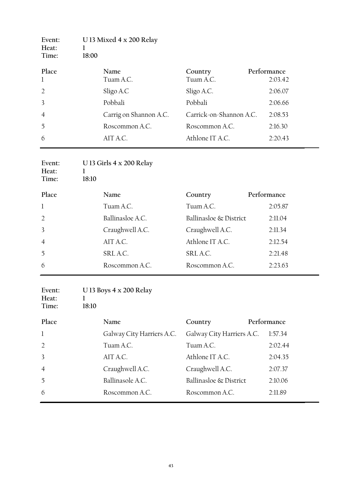| Event:<br>Heat: | U 13 Mixed 4 x 200 Relay |                         |                        |
|-----------------|--------------------------|-------------------------|------------------------|
| Time:           | 18:00                    |                         |                        |
| Place<br>1      | Name<br>Tuam A.C.        | Country<br>Tuam A.C.    | Performance<br>2:03.42 |
| $\overline{2}$  | Sligo A.C                | Sligo A.C.              | 2:06.07                |
| 3               | Pobbali                  | Pobbali                 | 2:06.66                |
| $\overline{4}$  | Carrig on Shannon A.C.   | Carrick-on-Shannon A.C. | 2:08.53                |
| 5               | Roscommon A.C.           | Roscommon A.C.          | 2:16.30                |
| 6               | AIT A.C.                 | Athlone IT A.C.         | 2:20.43                |

| Event:<br>Heat:<br>Time: | U 13 Girls 4 x 200 Relay<br>L<br>18:10 |                        |             |
|--------------------------|----------------------------------------|------------------------|-------------|
| Place                    | Name                                   | Country                | Performance |
| $\mathbf{1}$             | Tuam A.C.                              | Tuam A.C.              | 2:05.87     |
| 2                        | Ballinasloe A.C.                       | Ballinasloe & District | 2:11.04     |
| $\overline{3}$           | Craughwell A.C.                        | Craughwell A.C.        | 2:11.34     |
| $\overline{4}$           | AIT A.C.                               | Athlone IT A.C.        | 2:12.54     |
| 5                        | SRL A.C.                               | SRL A.C.               | 2:21.48     |
| 6                        | Roscommon A.C.                         | Roscommon A.C.         | 2:23.63     |

| Event:<br>Heat:<br>Time: | ı<br>18:10 | U 13 Boys $4 \times 200$ Relay |                           |             |         |
|--------------------------|------------|--------------------------------|---------------------------|-------------|---------|
| Place                    |            | Name                           | Country                   | Performance |         |
| $\mathbf{1}$             |            | Galway City Harriers A.C.      | Galway City Harriers A.C. |             | 1:57.34 |
| $\overline{2}$           |            | Tuam A.C.                      | Tuam A.C.                 |             | 2:02.44 |
| 3                        |            | AIT A.C.                       | Athlone IT A.C.           |             | 2:04.35 |
| $\overline{4}$           |            | Craughwell A.C.                | Craughwell A.C.           |             | 2:07.37 |
| 5                        |            | Ballinasole A.C.               | Ballinasloe & District    |             | 2:10.06 |
| 6                        |            | Roscommon A.C.                 | Roscommon A.C.            |             | 2:11.89 |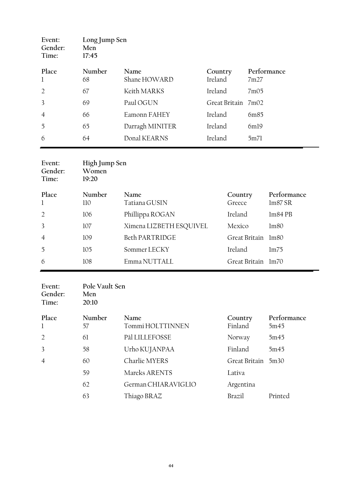| Event:<br>Gender:<br>Time: | Long Jump Sen<br>Men<br>17:45 |                 |                    |             |
|----------------------------|-------------------------------|-----------------|--------------------|-------------|
| Place                      | Number                        | Name            | Country            | Performance |
| 1                          | 68                            | Shane HOWARD    | Ireland            | 7m27        |
| 2                          | 67                            | Keith MARKS     | Ireland            | 7m05        |
| $\overline{3}$             | 69                            | Paul OGUN       | Great Britain 7m02 |             |
| $\overline{4}$             | 66                            | Eamonn FAHEY    | Ireland            | 6m85        |
| 5                          | 65                            | Darragh MINITER | Ireland            | 6ml9        |
| 6                          | 64                            | Donal KEARNS    | Ireland            | 5m71        |

| Event:<br>Gender:<br>Time: | High Jump Sen<br>Women<br>19:20 |                         |                    |                  |
|----------------------------|---------------------------------|-------------------------|--------------------|------------------|
| Place                      | Number                          | Name                    | Country            | Performance      |
| 1                          | 110                             | Tatiana GUSIN           | Greece             | lm87 SR          |
| $\overline{2}$             | 106                             | Phillippa ROGAN         | Ireland            | $lm84$ PB        |
| $\overline{3}$             | 107                             | Ximena LIZBETH ESQUIVEL | Mexico             | lm80             |
| $\overline{4}$             | 109                             | Beth PARTRIDGE          | Great Britain      | 1 <sub>m80</sub> |
| 5                          | 105                             | Sommer LECKY            | Ireland            | lm75             |
| 6                          | 108                             | Emma NUTTALL            | Great Britain lm70 |                  |

| Event:<br>Gender:<br>Time: | Pole Vault Sen<br>Men<br>20:10 |                          |                    |                     |
|----------------------------|--------------------------------|--------------------------|--------------------|---------------------|
| Place<br>1                 | Number<br>57                   | Name<br>Tommi HOLTTINNEN | Country<br>Finland | Performance<br>5m45 |
| $\overline{2}$             | 61                             | Pål LILLEFOSSE           | Norway             | 5m45                |
| $\overline{3}$             | 58                             | Urho KUJANPAA            | Finland            | 5m45                |
| $\overline{4}$             | 60                             | Charlie MYERS            | Great Britain 5m30 |                     |
|                            | 59                             | Mareks ARENTS            | Lativa             |                     |
|                            | 62                             | German CHIARAVIGLIO      | Argentina          |                     |
|                            | 63                             | Thiago BRAZ              | Brazil             | Printed             |
|                            |                                |                          |                    |                     |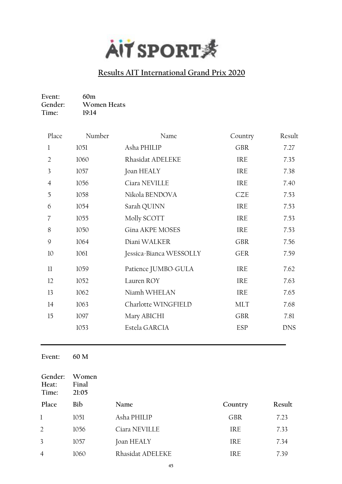

| Event:  | 60m         |
|---------|-------------|
| Gender: | Women Heats |
| Time:   | 19:14       |

| Place          | Number | Name                    | Country    | Result     |
|----------------|--------|-------------------------|------------|------------|
| 1              | 1051   | Asha PHILIP             | <b>GBR</b> | 7.27       |
| $\overline{2}$ | 1060   | Rhasidat ADELEKE        | <b>IRE</b> | 7.35       |
| 3              | 1057   | Joan HEALY              | IRE        | 7.38       |
| $\overline{4}$ | 1056   | Ciara NEVILLE           | <b>IRE</b> | 7.40       |
| 5              | 1058   | Nikola BENDOVA          | CZE        | 7.53       |
| 6              | 1054   | Sarah QUINN             | <b>IRE</b> | 7.53       |
| 7              | 1055   | Molly SCOTT             | <b>IRE</b> | 7.53       |
| 8              | 1050   | Gina AKPE MOSES         | <b>IRE</b> | 7.53       |
| 9              | 1064   | Diani WALKER            | <b>GBR</b> | 7.56       |
| 10             | 1061   | Jessica-Bianca WESSOLLY | <b>GER</b> | 7.59       |
| $_{11}$        | 1059   | Patience JUMBO-GULA     | IRE        | 7.62       |
| 12             | 1052   | Lauren ROY              | <b>IRE</b> | 7.63       |
| 13             | 1062   | Niamh WHELAN            | IRE        | 7.65       |
| 14             | 1063   | Charlotte WINGFIELD     | <b>MLT</b> | 7.68       |
| 15             | 1097   | Mary ABICHI             | <b>GBR</b> | 7.81       |
|                | 1053   | Estela GARCIA           | <b>ESP</b> | <b>DNS</b> |
|                |        |                         |            |            |

**Event: 60 M**

| Gender:<br>Heat:<br>Time: | Women<br>Final<br>21:05 |                  |            |        |
|---------------------------|-------------------------|------------------|------------|--------|
| Place                     | Bib                     | Name             | Country    | Result |
| $\mathbf{1}$              | 1051                    | Asha PHILIP      | <b>GBR</b> | 7.23   |
| 2                         | 1056                    | Ciara NEVILLE    | IRE        | 7.33   |
| 3                         | 1057                    | Joan HEALY       | <b>IRE</b> | 7.34   |
| $\overline{4}$            | 1060                    | Rhasidat ADELEKE | IRE        | 7.39   |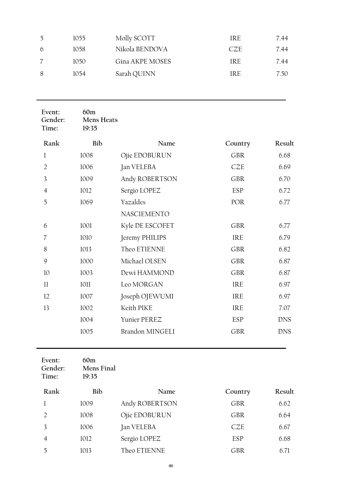| $\mathcal{L}$ | 1055 | Molly SCOTT     | IRE | 7.44 |
|---------------|------|-----------------|-----|------|
| 6             | 1058 | Nikola BENDOVA  | CZE | 7.44 |
|               | 1050 | Gina AKPE MOSES | IRE | 7.44 |
| 8             | 1054 | Sarah QUINN     | IRE | 7.50 |

| Event:<br>Gender:<br>Time: | 60m<br><b>Mens Heats</b><br>19:35 |                        |            |            |
|----------------------------|-----------------------------------|------------------------|------------|------------|
| Rank                       | Bib                               | Name                   | Country    | Result     |
| $\mathbf{1}$               | 1008                              | Ojie EDOBURUN          | <b>GBR</b> | 6.68       |
| $\overline{2}$             | 1006                              | Jan VELEBA             | <b>CZE</b> | 6.69       |
| 3                          | 1009                              | Andy ROBERTSON         | <b>GBR</b> | 6.70       |
| $\overline{4}$             | 1012                              | Sergio LOPEZ           | ESP        | 6.72       |
| 5                          | 1069                              | Yazaldes               | POR        | 6.77       |
|                            |                                   | <b>NASCIEMENTO</b>     |            |            |
| 6                          | 1001                              | Kyle DE ESCOFET        | <b>GBR</b> | 6.77       |
| $\overline{\mathcal{U}}$   | 1010                              | Jeremy PHILIPS         | <b>IRE</b> | 6.79       |
| 8                          | 1013                              | Theo ETIENNE           | <b>GBR</b> | 6.82       |
| 9                          | 1000                              | Michael OLSEN          | <b>GBR</b> | 6.87       |
| 10                         | 1003                              | Dewi HAMMOND           | <b>GBR</b> | 6.87       |
| 11                         | 1011                              | Leo MORGAN             | <b>IRE</b> | 6.97       |
| 12                         | 1007                              | Joseph OJEWUMI         | <b>IRE</b> | 6.97       |
| 13                         | 1002                              | Keith PIKE             | <b>IRE</b> | 7.07       |
|                            | 1004                              | Yunier PEREZ           | <b>ESP</b> | <b>DNS</b> |
|                            | 1005                              | <b>Brandon MINGELI</b> | <b>GBR</b> | <b>DNS</b> |
|                            |                                   |                        |            |            |

| Event:<br>Gender:<br>Time: | 60m<br>Mens Final<br>19:35 |                |            |        |
|----------------------------|----------------------------|----------------|------------|--------|
| Rank                       | Bib                        | Name           | Country    | Result |
|                            | 1009                       | Andy ROBERTSON | <b>GBR</b> | 6.62   |
| $\mathcal{L}$              | 1008                       | Ojie EDOBURUN  | <b>GBR</b> | 6.64   |
| 3                          | 1006                       | Jan VELEBA     | <b>CZE</b> | 6.67   |
| 4                          | 1012                       | Sergio LOPEZ   | ESP        | 6.68   |
| 5                          | 1013                       | Theo ETIENNE   | GBR        | 6.71   |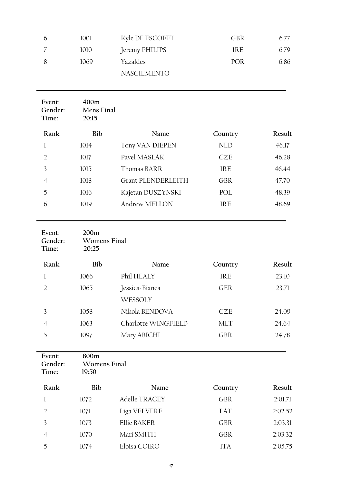| 1001 | Kyle DE ESCOFET    | GBR        | 6.77 |
|------|--------------------|------------|------|
| 1010 | Jeremy PHILIPS     | IRE        | 6.79 |
| 1069 | Yazaldes           | <b>POR</b> | 6.86 |
|      | <b>NASCIEMENTO</b> |            |      |
|      |                    |            |      |

| Event:<br>Gender:<br>Time: | 400m<br>Mens Final<br>20:15 |                           |            |        |
|----------------------------|-----------------------------|---------------------------|------------|--------|
| Rank                       | Bib                         | Name                      | Country    | Result |
|                            | 1014                        | Tony VAN DIEPEN           | <b>NED</b> | 46.17  |
| $\mathcal{D}$              | 1017                        | Pavel MASLAK              | <b>CZE</b> | 46.28  |
| 3                          | 1015                        | Thomas BARR               | <b>IRE</b> | 46.44  |
| 4                          | 1018                        | <b>Grant PLENDERLEITH</b> | <b>GBR</b> | 47.70  |
| 5                          | 1016                        | Kajetan DUSZYNSKI         | POL        | 48.39  |
| 6                          | 1019                        | Andrew MELLON             | <b>IRE</b> | 48.69  |
|                            |                             |                           |            |        |

| Event:<br>Gender:<br>Time: | 200m<br><b>Womens Final</b><br>20:25 |                     |            |        |
|----------------------------|--------------------------------------|---------------------|------------|--------|
| Rank                       | Bib                                  | Name                | Country    | Result |
|                            | 1066                                 | Phil HEALY          | <b>IRE</b> | 23.10  |
| $\mathcal{D}$              | 1065                                 | Jessica-Bianca      | <b>GER</b> | 23.71  |
|                            |                                      | WESSOLY             |            |        |
| 3                          | 1058                                 | Nikola BENDOVA      | CZE        | 24.09  |
| 4                          | 1063                                 | Charlotte WINGFIELD | <b>MLT</b> | 24.64  |
| 5                          | 1097                                 | Mary ABICHI         | <b>GBR</b> | 24.78  |
|                            |                                      |                     |            |        |

| Event:<br>Gender:<br>Time: | 800m<br>Womens Final<br>19:50 |               |            |         |
|----------------------------|-------------------------------|---------------|------------|---------|
| Rank                       | Bib                           | Name          | Country    | Result  |
|                            | 1072                          | Adelle TRACEY | <b>GBR</b> | 2:01.71 |
| $\mathfrak{D}$             | 1071                          | Liga VELVERE  | LAT        | 2:02.52 |
| 3                          | 1073                          | Ellie BAKER   | <b>GBR</b> | 2:03.31 |
| 4                          | 1070                          | Mari SMITH    | <b>GBR</b> | 2:03.32 |
| 5                          | 1074                          | Eloisa COIRO  | ITA        | 2:05.75 |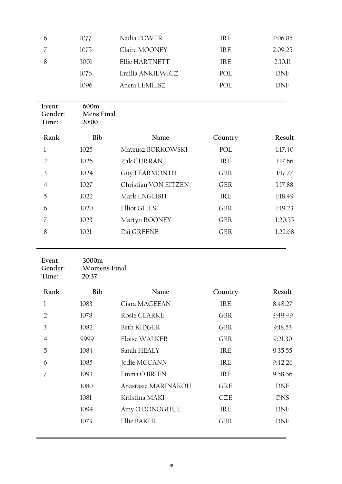| 1077 | Nadia POWER      | IRE. | 2:06.05 |
|------|------------------|------|---------|
| 1075 | Claire MOONEY    | IRE. | 2:09.25 |
| 3001 | Ellie HARTNETT   | IRE. | 2:10.11 |
| 1076 | Emilia ANKIEWICZ | POL  | DNF     |
| 1096 | Aneta LEMIESZ    | POL. | DNF     |
|      |                  |      |         |

| Event:<br>Gender:<br>Time: | 600m<br>Mens Final<br>20:00 |                      |            |         |
|----------------------------|-----------------------------|----------------------|------------|---------|
| Rank                       | Bib                         | Name                 | Country    | Result  |
| 1                          | 1025                        | Mateusz BORKOWSKI    | POL        | 1:17.40 |
| $\overline{2}$             | 1026                        | Zak CURRAN           | IRE        | 1:17.66 |
| 3                          | 1024                        | <b>Guy LEARMONTH</b> | <b>GBR</b> | 1:17.77 |
| $\overline{4}$             | 1027                        | Christian VON EITZEN | <b>GER</b> | 1:17.88 |
| 5                          | 1022                        | Mark ENGLISH         | IRE        | 1:18.49 |
| 6                          | 1020                        | <b>Elliot GILES</b>  | <b>GBR</b> | 1:19.23 |
| 7                          | 1023                        | Martyn ROONEY        | <b>GBR</b> | 1:20.55 |
| 8                          | 1021                        | Dai GREENE           | <b>GBR</b> | 1:22.68 |
|                            |                             |                      |            |         |

#### **Event: 3000m** Womens Final<br>20:37 **Time: 20:37**

| Rank           | Bib  | Name                | Country    | Result     |
|----------------|------|---------------------|------------|------------|
| 1              | 1083 | Ciara MAGEEAN       | IRE        | 8:48.27    |
| $\mathfrak{D}$ | 1078 | Rosie CLARKE        | <b>GBR</b> | 8:49.49    |
| 3              | 1082 | Beth KIDGER         | <b>GBR</b> | 9:18.53    |
| $\overline{4}$ | 9999 | Eloise WALKER       | <b>GBR</b> | 9:21.30    |
| 5              | 1084 | Sarah HEALY         | IRE        | 9:35.55    |
| 6              | 1085 | Jodie MCCANN        | <b>IRE</b> | 9:42.26    |
|                | 1093 | Emma O BRIEN        | <b>IRE</b> | 9:58.56    |
|                | 1080 | Anastasia MARINAKOU | <b>GRE</b> | <b>DNF</b> |
|                | 1081 | Kriistina MAKI      | CZE        | <b>DNS</b> |
|                | 1094 | Amy O DONOGHUE      | IRE        | <b>DNF</b> |
|                | 1073 | Ellie BAKER         | <b>GBR</b> | DNF        |
|                |      |                     |            |            |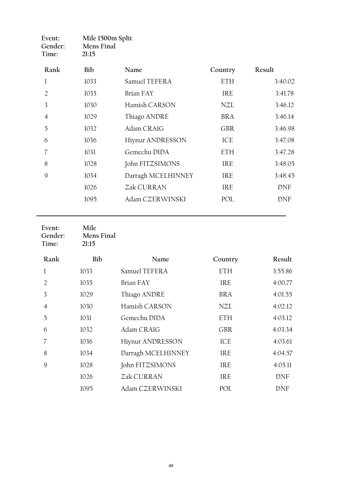| Event:<br>Gender:<br>Time: | Mile 1500m Split<br>Mens Final<br>21:15 |                         |            |         |
|----------------------------|-----------------------------------------|-------------------------|------------|---------|
| Rank                       | Bib                                     | Name                    | Country    | Result  |
| 1                          | 1033                                    | Samuel TEFERA           | <b>ETH</b> | 3:40.02 |
| $\mathcal{L}$              | 1035                                    | Brian FAY               | IRE        | 3:41.78 |
| 3                          | 1030                                    | Hamish CARSON           | NZL        | 3:46.12 |
| $\overline{4}$             | 1029                                    | Thiago ANDRE            | <b>BRA</b> | 3:46.14 |
| 5                          | 1032                                    | Adam CRAIG              | <b>GBR</b> | 3:46.98 |
| 6                          | 1036                                    | <b>Hiynur ANDRESSON</b> | ICE        | 3:47.08 |
| 7                          | 1031                                    | Gemechu DIDA            | ETH        | 3:47.28 |
| 8                          | 1028                                    | John FITZSIMONS         | IRE        | 3:48.05 |
| 9                          | 1034                                    | Darragh MCELHINNEY      | IRE        | 3:48.45 |
|                            | 1026                                    | Zak CURRAN              | IRE        | DNF     |
|                            | 1095                                    | Adam CZERWINSKI         | POL        | DNF     |
|                            |                                         |                         |            |         |

| Event:<br>Gender:<br>Time: | Mile<br>Mens Final<br>21:15 |                    |            |            |
|----------------------------|-----------------------------|--------------------|------------|------------|
| Rank                       | Bib                         | Name               | Country    | Result     |
| l                          | 1033                        | Samuel TEFERA      | ETH        | 3:55.86    |
| $\overline{2}$             | 1035                        | <b>Brian FAY</b>   | <b>IRE</b> | 4:00.77    |
| 3                          | 1029                        | Thiago ANDRE       | <b>BRA</b> | 4:01.55    |
| 4                          | 1030                        | Hamish CARSON      | NZL        | 4:02.12    |
| 5                          | 1031                        | Gemechu DIDA       | ETH        | 4:03.12    |
| 6                          | 1032                        | Adam CRAIG         | <b>GBR</b> | 4:03.34    |
| 7                          | 1036                        | Hiynur ANDRESSON   | ICE        | 4:03.61    |
| 8                          | 1034                        | Darragh MCELHINNEY | IRE        | 4:04.57    |
| 9                          | 1028                        | John FITZSIMONS    | IRE        | 4:05.11    |
|                            | 1026                        | Zak CURRAN         | <b>IRE</b> | <b>DNF</b> |
|                            | 1095                        | Adam CZERWINSKI    | POL        | <b>DNF</b> |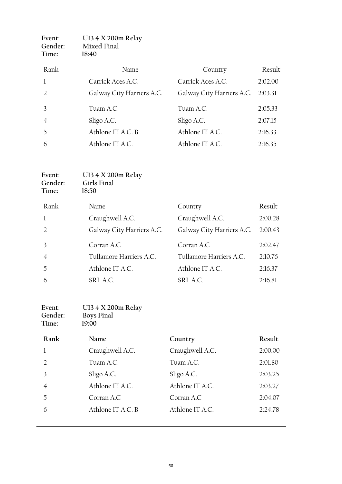| Event:<br>Gender:<br>Time: | U13 4 X 200m Relay<br>Mixed Final<br>18:40 |                                   |         |
|----------------------------|--------------------------------------------|-----------------------------------|---------|
| Rank                       | Name                                       | Country                           | Result  |
| $\mathbf{1}$               | Carrick Aces A.C.                          | Carrick Aces A.C.                 | 2:02.00 |
| $\mathfrak{D}$             | Galway City Harriers A.C.                  | Galway City Harriers A.C. 2:03.31 |         |
| 3                          | Tuam A.C.                                  | Tuam A.C.                         | 2:05.33 |
| $\overline{4}$             | Sligo A.C.                                 | Sligo A.C.                        | 2:07.15 |
| 5                          | Athlone IT A.C. B                          | Athlone IT A.C.                   | 2:16.33 |
| 6                          | Athlone IT A.C.                            | Athlone IT A.C.                   | 2:16.35 |

| Event:<br>Gender:<br>Time: | U13 4 X 200m Relay<br>Girls Final<br>18:50 |                           |         |
|----------------------------|--------------------------------------------|---------------------------|---------|
| Rank                       | Name                                       | Country                   | Result  |
| 1                          | Craughwell A.C.                            | Craughwell A.C.           | 2:00.28 |
|                            | Galway City Harriers A.C.                  | Galway City Harriers A.C. | 2:00.43 |
| 3                          | Corran A.C                                 | Corran A.C                | 2:02.47 |
| $\overline{4}$             | Tullamore Harriers A.C.                    | Tullamore Harriers A.C.   | 2:10.76 |
| 5                          | Athlone IT A.C.                            | Athlone IT A.C.           | 2:16.37 |
| 6                          | SRL A.C.                                   | SRL A.C.                  | 2:16.81 |
|                            |                                            |                           |         |

| Event:  | U13 4 X 200m Relay |
|---------|--------------------|
| Gender: | <b>Boys Final</b>  |
| Time:   | 19:00              |

| Rank | Name              | Country         | Result  |
|------|-------------------|-----------------|---------|
|      | Craughwell A.C.   | Craughwell A.C. | 2:00.00 |
|      | Tuam A.C.         | Tuam A.C.       | 2:01.80 |
|      | Sligo A.C.        | Sligo A.C.      | 2:03.25 |
|      | Athlone IT A.C.   | Athlone IT A.C. | 2:03.27 |
| 5    | Corran A.C        | Corran A.C      | 2:04.07 |
| 6    | Athlone IT A.C. B | Athlone IT A.C. | 2:24.78 |
|      |                   |                 |         |